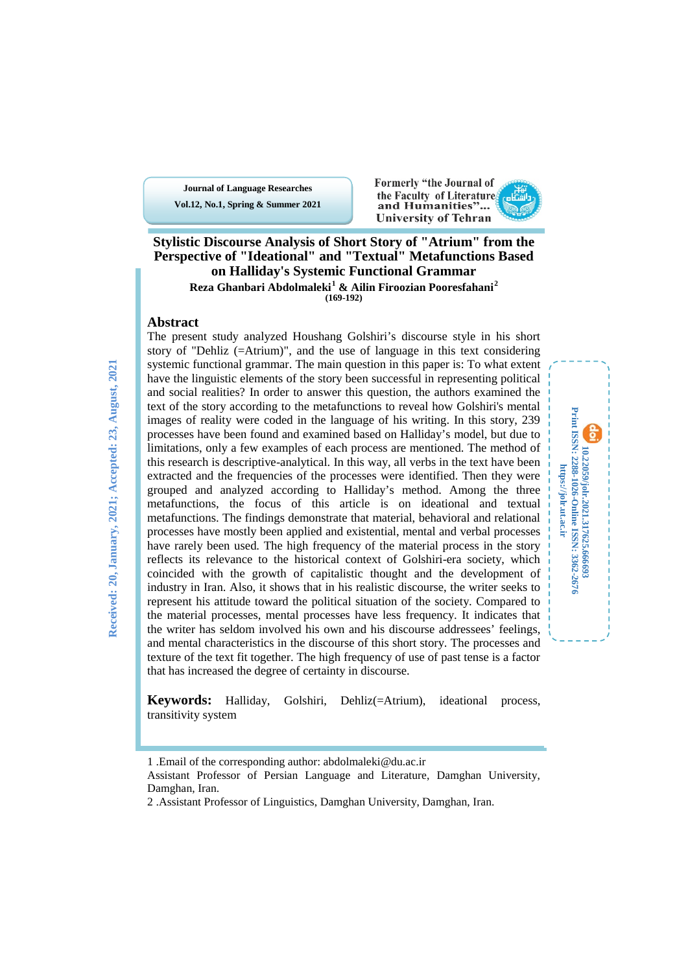**Journal of Language Researches Vol.12, No.1, Spring & Summer 2021**



## **Stylistic Discourse Analysis of Short Story of "Atrium" from the Perspective of "Ideational" and "Textual" Metafunctions Based on Halliday's Systemic Functional Grammar**

**Reza Ghanbari Abdolmaleki[1](#page-0-0) & Ailin Firoozian Pooresfahani[2](#page-0-1) (169-192)**

## **Abstract**

The present study analyzed Houshang Golshiri's discourse style in his short story of "Dehliz (=Atrium)", and the use of language in this text considering systemic functional grammar. The main question in this paper is: To what extent have the linguistic elements of the story been successful in representing political and social realities? In order to answer this question, the authors examined the text of the story according to the metafunctions to reveal how Golshiri's mental images of reality were coded in the language of his writing. In this story, 239 processes have been found and examined based on Halliday's model, but due to limitations, only a few examples of each process are mentioned. The method of this research is descriptive-analytical. In this way, all verbs in the text have been extracted and the frequencies of the processes were identified. Then they were grouped and analyzed according to Halliday's method. Among the three metafunctions, the focus of this article is on ideational and textual metafunctions. The findings demonstrate that material, behavioral and relational processes have mostly been applied and existential, mental and verbal processes have rarely been used. The high frequency of the material process in the story reflects its relevance to the historical context of Golshiri-era society, which coincided with the growth of capitalistic thought and the development of industry in Iran. Also, it shows that in his realistic discourse, the writer seeks to represent his attitude toward the political situation of the society. Compared to the material processes, mental processes have less frequency. It indicates that the writer has seldom involved his own and his discourse addressees' feelings, and mental characteristics in the discourse of this short story. The processes and texture of the text fit together. The high frequency of use of past tense is a factor that has increased the degree of certainty in discourse.



**Keywords:** Halliday, Golshiri, Dehliz(=Atrium), ideational process, transitivity system

i

<sup>1 .</sup>Email of the corresponding author: abdolmaleki@du.ac.ir

<span id="page-0-0"></span>Assistant Professor of Persian Language and Literature, Damghan University, Damghan, Iran.

<span id="page-0-1"></span><sup>2 .</sup>Assistant Professor of Linguistics, Damghan University, Damghan, Iran.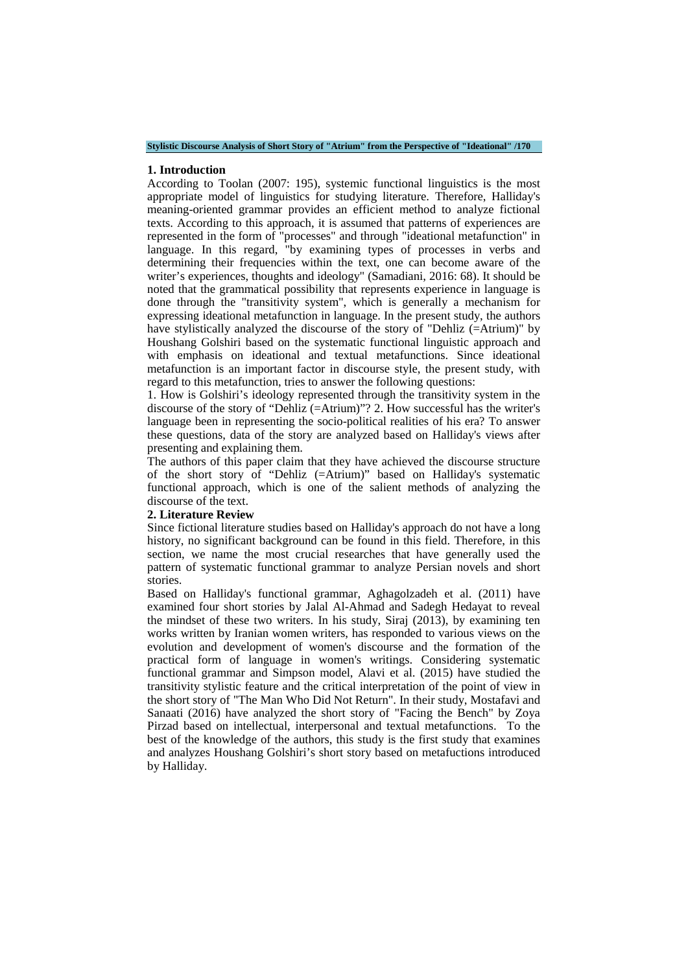#### **1. Introduction**

According to Toolan (2007: 195), systemic functional linguistics is the most appropriate model of linguistics for studying literature. Therefore, Halliday's meaning-oriented grammar provides an efficient method to analyze fictional texts. According to this approach, it is assumed that patterns of experiences are represented in the form of "processes" and through "ideational metafunction" in language. In this regard, "by examining types of processes in verbs and determining their frequencies within the text, one can become aware of the writer's experiences, thoughts and ideology" (Samadiani, 2016: 68). It should be noted that the grammatical possibility that represents experience in language is done through the "transitivity system", which is generally a mechanism for expressing ideational metafunction in language. In the present study, the authors have stylistically analyzed the discourse of the story of "Dehliz (=Atrium)" by Houshang Golshiri based on the systematic functional linguistic approach and with emphasis on ideational and textual metafunctions. Since ideational metafunction is an important factor in discourse style, the present study, with regard to this metafunction, tries to answer the following questions:

1. How is Golshiri's ideology represented through the transitivity system in the discourse of the story of "Dehliz (=Atrium)"? 2. How successful has the writer's language been in representing the socio-political realities of his era? To answer these questions, data of the story are analyzed based on Halliday's views after presenting and explaining them.

The authors of this paper claim that they have achieved the discourse structure of the short story of "Dehliz (=Atrium)" based on Halliday's systematic functional approach, which is one of the salient methods of analyzing the discourse of the text.

#### **2. Literature Review**

Since fictional literature studies based on Halliday's approach do not have a long history, no significant background can be found in this field. Therefore, in this section, we name the most crucial researches that have generally used the pattern of systematic functional grammar to analyze Persian novels and short stories.

Based on Halliday's functional grammar, Aghagolzadeh et al. (2011) have examined four short stories by Jalal Al-Ahmad and Sadegh Hedayat to reveal the mindset of these two writers. In his study, Siraj (2013), by examining ten works written by Iranian women writers, has responded to various views on the evolution and development of women's discourse and the formation of the practical form of language in women's writings. Considering systematic functional grammar and Simpson model, Alavi et al. (2015) have studied the transitivity stylistic feature and the critical interpretation of the point of view in the short story of "The Man Who Did Not Return". In their study, Mostafavi and Sanaati (2016) have analyzed the short story of "Facing the Bench" by Zoya Pirzad based on intellectual, interpersonal and textual metafunctions. To the best of the knowledge of the authors, this study is the first study that examines and analyzes Houshang Golshiri's short story based on metafuctions introduced by Halliday.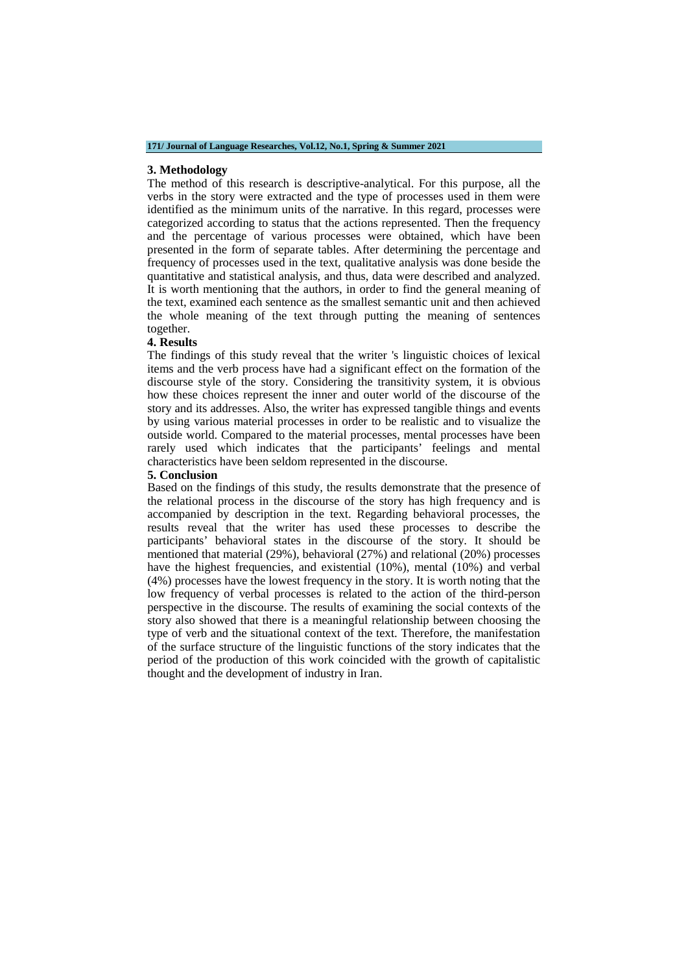#### **171/ Journal of Language Researches, Vol.12, No.1, Spring & Summer 2021**

#### **3. Methodology**

The method of this research is descriptive-analytical. For this purpose, all the verbs in the story were extracted and the type of processes used in them were identified as the minimum units of the narrative. In this regard, processes were categorized according to status that the actions represented. Then the frequency and the percentage of various processes were obtained, which have been presented in the form of separate tables. After determining the percentage and frequency of processes used in the text, qualitative analysis was done beside the quantitative and statistical analysis, and thus, data were described and analyzed. It is worth mentioning that the authors, in order to find the general meaning of the text, examined each sentence as the smallest semantic unit and then achieved the whole meaning of the text through putting the meaning of sentences together.

#### **4. Results**

The findings of this study reveal that the writer 's linguistic choices of lexical items and the verb process have had a significant effect on the formation of the discourse style of the story. Considering the transitivity system, it is obvious how these choices represent the inner and outer world of the discourse of the story and its addresses. Also, the writer has expressed tangible things and events by using various material processes in order to be realistic and to visualize the outside world. Compared to the material processes, mental processes have been rarely used which indicates that the participants' feelings and mental characteristics have been seldom represented in the discourse.

#### **5. Conclusion**

Based on the findings of this study, the results demonstrate that the presence of the relational process in the discourse of the story has high frequency and is accompanied by description in the text. Regarding behavioral processes, the results reveal that the writer has used these processes to describe the participants' behavioral states in the discourse of the story. It should be mentioned that material (29%), behavioral (27%) and relational (20%) processes have the highest frequencies, and existential (10%), mental (10%) and verbal (4%) processes have the lowest frequency in the story. It is worth noting that the low frequency of verbal processes is related to the action of the third-person perspective in the discourse. The results of examining the social contexts of the story also showed that there is a meaningful relationship between choosing the type of verb and the situational context of the text. Therefore, the manifestation of the surface structure of the linguistic functions of the story indicates that the period of the production of this work coincided with the growth of capitalistic thought and the development of industry in Iran.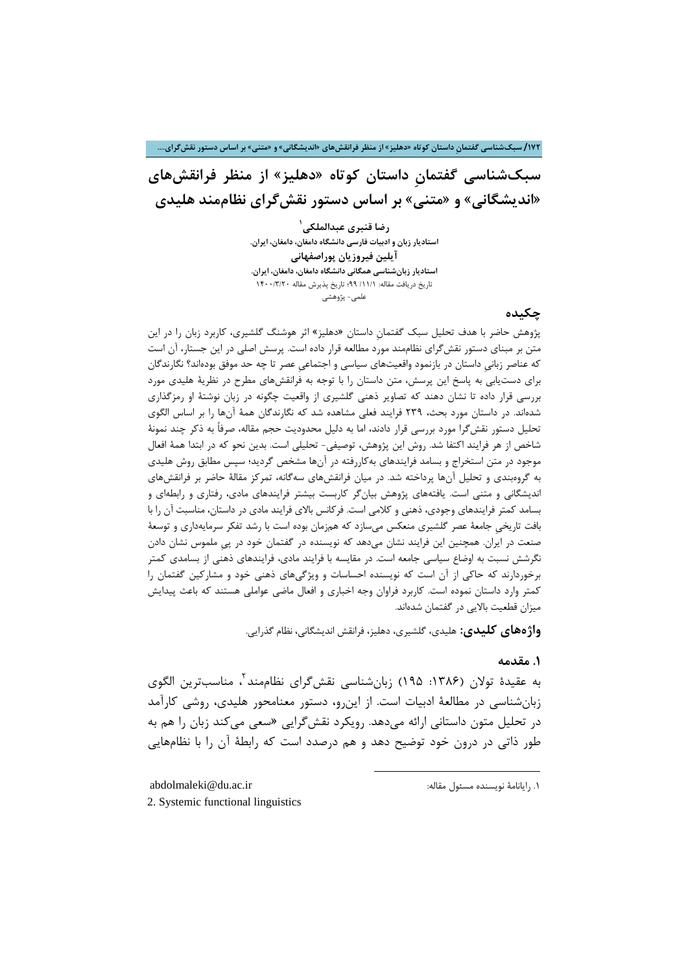**/172 سبکشناسی گفتمانِ داستان کوتاه «دهلیز» از منظر فرانقشهاي «اندیشگانی» و «متنی» بر اساس دستور نقشگراي....**

**سبکشناسی گفتمانِ داستان کوتاه «دهلیز» از منظر فرانقشهاي «اندیشگانی» و «متنی» بر اساس دستور نقشگراي نظاممند هلیدي**

> **[1](#page-3-0) رضا قنبري عبدالملکی استادیار زبان و ادبیات فارسی دانشگاه دامغان، دامغان، ایران. آیلین فیروزیان پوراصفهانی استادیار زبانشناسی همگانی دانشگاه دامغان، دامغان، ایران.** تاریخ دریافت مقاله: ١١/١/ ٩٩؛ تاریخ پذیرش مقاله ١۴٠٠/٣/٢٠ علمی- پژوهشی

### **چکیده**

پژوهش حاضر با هدف تحلیل سبک گفتمانِ داستان «دهلیز» اثر هوشنگ گلشیري، کاربرد زبان را در این متن بر مبناي دستور نقشگراي نظاممند مورد مطالعه قرار داده است. پرسش اصلی در این جستار، آن است که عناصر زبانیِ داستان در بازنمود واقعیتهاي سیاسی و اجتماعیِ عصر تا چه حد موفق بودهاند؟ نگارندگان براي دستیابی به پاسخ این پرسش، متن داستان را با توجه به فرانقشهاي مطرح در نظریۀ هلیدي مورد بررسی قرار داده تا نشان دهند که تصاویر ذهنی گلشیري از واقعیت چگونه در زبان نوشتۀ او رمزگذاري شدهاند. در داستان مورد بحث، 239 فرایند فعلی مشاهده شد که نگارندگان همۀ آنها را بر اساس الگوي تحلیل دستور نقشگرا مورد بررسی قرار دادند، اما به دلیل محدودیت حجم مقاله، صرفاً به ذکر چند نمونۀ شاخص از هر فرایند اکتفا شد. روش این پژوهش، توصیفی- تحلیلی است. بدین نحو که در ابتدا همۀ افعال موجود در متن استخراج و بسامد فرایندهاي بهکاررفته در آنها مشخص گردید؛ سپس مطابق روش هلیدي به گروهبندي و تحلیل آنها پرداخته شد. در میان فرانقشهاي سهگانه، تمرکز مقالۀ حاضر بر فرانقشهاي اندیشگانی و متنی است. یافتههاي پژوهش بیانگر کاربست بیشتر فرایندهاي مادي، رفتاري و رابطهاي و بسامد کمتر فرایندهاي وجودي، ذهنی و کلامی است. فرکانس بالاي فرایند مادي در داستان، مناسبت آن را با بافت تاریخیِ جامعۀ عصر گلشیري منعکس میسازد که همزمان بوده است با رشد تفکر سرمایهداري و توسعۀ صنعت در ایران. همچنین این فرایند نشان میدهد که نویسنده در گفتمان خود در پیِ ملموس نشان دادن نگرشش نسبت به اوضاع سیاسی جامعه است. در مقایسه با فرایند مادي، فرایندهاي ذهنی از بسامدي کمتر برخوردارند که حاکی از آن است که نویسنده احساسات و ویژگیهاي ذهنی خود و مشارکین گفتمان را کمتر وارد داستان نموده است. کاربرد فراوان وجه اخباري و افعال ماضی عواملی هستند که باعث پیدایش میزان قطعیت بالایی در گفتمان شدهاند.

**واژههاي کلیدي:** هلیدي، گلشیري، دهلیز، فرانقش اندیشگانی، نظام گذرایی.

#### **.1 مقدمه**

به عقیدهٔ تولان (۱۳۸۶: ۱۹۵) زبانِشناسی نقشگرای نظاممند ٔ، مناسبترین الگوی زبانشناسی در مطالعۀ ادبیات است. از اینرو، دستور معنامحور هلیدي، روشی کارآمد در تحلیل متون داستانی ارائه میدهد. رویکرد نقشگرایی «سعی میکند زبان را هم به طور ذاتی در درون خود توضیح دهد و هم درصدد است که رابطۀ آن را با نظامهایی

**.** 

[.1](#page-3-1) رایانامۀ نویسنده مسئول مقاله: ir.ac.du@abdolmaleki

<span id="page-3-1"></span><span id="page-3-0"></span>2. Systemic functional linguistics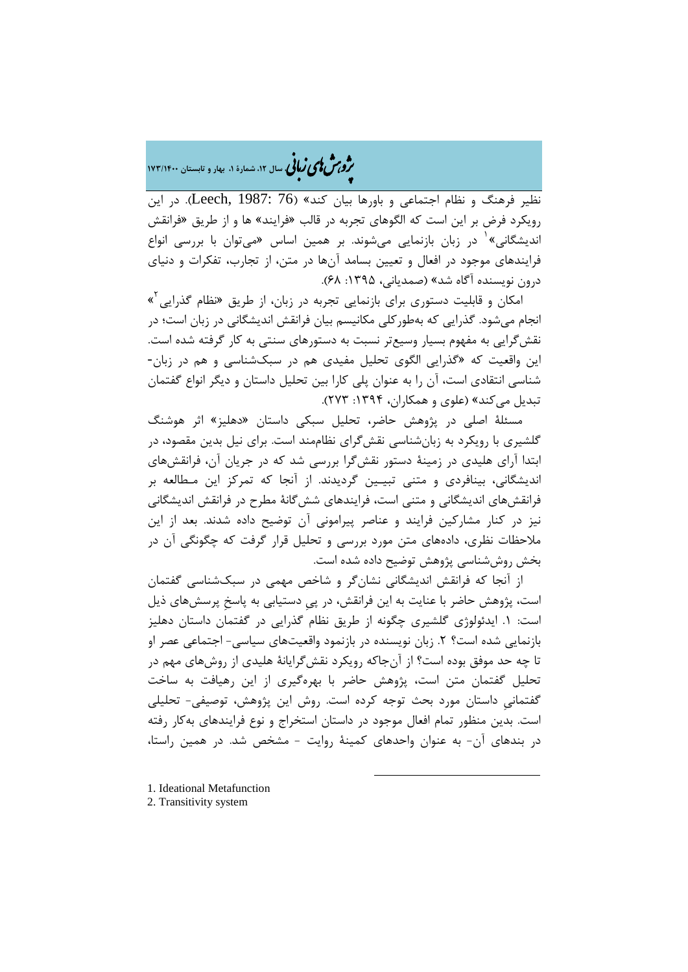## �ی زبا **، سال ،12 شمارة ،1 بهار و تابستان 173/1400** � �و ی �ش

نظیر فرهنگ و نظام اجتماعی و باورها بیان کند» (76 1987: ,Leech(. در این رویکرد فرض بر این است که الگوهاي تجربه در قالب «فرایند» ها و از طریق «فرانقش اندیشگانی»<sup>۱</sup> در زبان بازنمایی میشوند. بر همین اساس «میتوان با بررسی انواع فرایندهاي موجود در افعال و تعیین بسامد آنها در متن، از تجارب، تفکرات و دنیاي درون نویسنده آگاه شد» (صمدیانی، :1395 68).

امکان و قابلیت دستوری برای بازنمایی تجربه در زبان، از طریق «نظام گذرایی<sup>۲</sup>» انجام میشود. گذرایی که بهطورکلی مکانیسم بیان فرانقش اندیشگانی در زبان است؛ در نقشگرایی به مفهوم بسیار وسیعتر نسبت به دستورهاي سنتی به کار گرفته شده است. این واقعیت که «گذرایی الگوي تحلیل مفیدي هم در سبکشناسی و هم در زبان- شناسی انتقادي است، آن را به عنوان پلی کارا بین تحلیل داستان و دیگر انواع گفتمان تبدیل می کند» (علوی و همکاران، ۱۳۹۴: ۲۷۳).

 مسئلۀ اصلی در پژوهش حاضر، تحلیل سبکی داستان «دهلیز» اثر هوشنگ گلشیري با رویکرد به زبانشناسی نقشگراي نظاممند است. براي نیل بدین مقصود، در ابتدا آراي هلیدي در زمینۀ دستور نقشگرا بررسی شد که در جریان آن، فرانقشهاي اندیشگانی، بینافردي و متنی تبیـین گردیدند. از آنجا که تمرکز این مـطالعه بر فرانقشهاي اندیشگانی و متنی است، فرایندهاي ششگانۀ مطرح در فرانقش اندیشگانی نیز در کنار مشارکین فرایند و عناصر پیرامونی آن توضیح داده شدند. بعد از این ملاحظات نظري، دادههاي متن مورد بررسی و تحلیل قرار گرفت که چگونگی آن در بخش روششناسی پژوهش توضیح داده شده است.

 از آنجا [ک](#page-4-1)ه فرانقش اندیشگانی نشانگر و شاخص مهمی در سبکشناسی گفتمان است، پژوهش حاضر با عنایت به این فرانقش، در پیِ دستیابی به پاسخِ پرسشهاي ذیل است: .1 ایدئولوژي گلشیري چگونه از طریق نظام گذرایی در گفتمان داستان دهلیز بازنمایی شده است؟ ۲. زبان نویسنده در بازنمود واقعیتهای سیاسی- اجتماعی عصر او تا چه حد موفق بوده است؟ از آنجاکه رویکرد نقشگرایانۀ هلیدي از روشهاي مهم در تحلیل گفتمان متن است، پژوهش حاضر با بهرهگیري از این رهیافت به ساخت گفتمانیِ داستان مورد بحث توجه کرده است. روش این پژوهش، توصیفی- تحلیلی است. بدین منظور تمام افعال موجود در داستان استخراج و نوع فرایندهاي بهکار رفته در بندهاي آن- به عنوان واحدهاي کمینۀ روایت - مشخص شد. در همین راستا،

**.** 

- <span id="page-4-0"></span>1. Ideational Metafunction
- <span id="page-4-1"></span>2. Transitivity system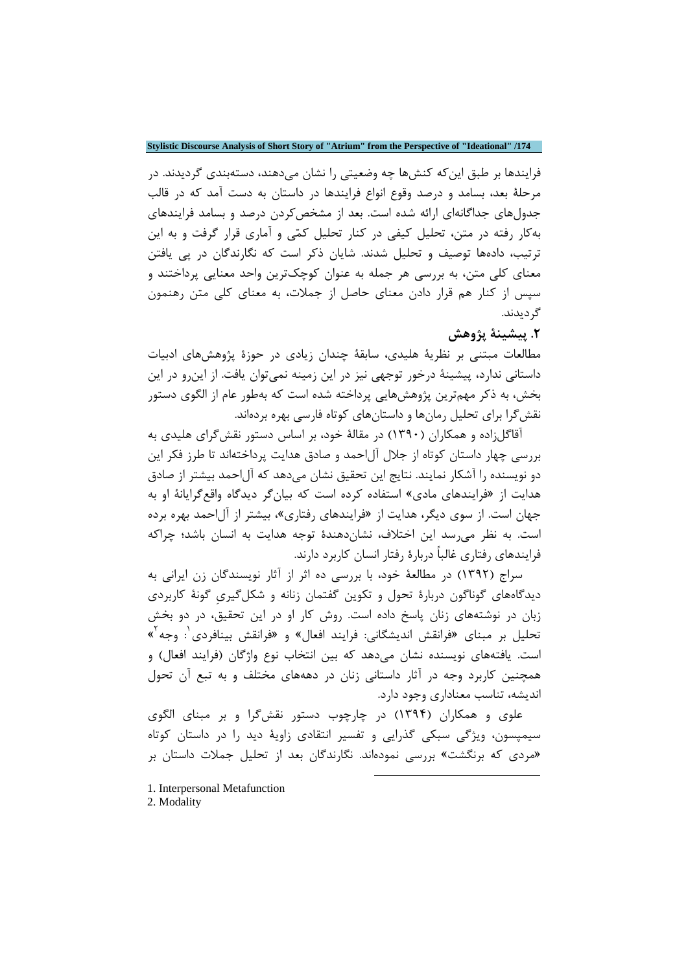فرایندها بر طبق اینکه کنشها چه وضعیتی را نشان میدهند، دستهبندي گردیدند. در مرحلۀ بعد، بسامد و درصد وقوع انواع فرایندها در داستان به دست آمد که در قالب جدولهاي جداگانهاي ارائه شده است. بعد از مشخصکردن درصد و بسامد فرایندهاي بهکار رفته در متن، تحلیل کیفی در کنار تحلیل کمی و آماري قرار گرفت و به این ترتیب، دادهها توصیف و تحلیل شدند. شایان ذکر است که نگارندگان در پی یافتن معناي کلی متن، به بررسی هر جمله به عنوان کوچکترین واحد معنایی پرداختند و سپس از کنار هم قرار دادن معناي حاصل از جملات، به معناي کلی متن رهنمون گردیدند.

## **.2 پیشینۀ پژوهش**

مطالعات مبتنی بر نظریۀ هلیدي، سابقۀ چندان زیادي در حوزة پژوهشهاي ادبیات داستانی ندارد، پیشینۀ درخور توجهی نیز در این زمینه نمیتوان یافت. از اینرو در این بخش، به ذکر مهمترین پژوهشهایی پرداخته شده است که بهطور عام از الگوي دستور نقشگرا براي تحلیل رمانها و داستانهاي کوتاه فارسی بهره بردهاند.

 آقاگلزاده و همکاران (1390) در مقالۀ خود، بر اساس دستور نقشگراي هلیدي به بررسی چهار داستان کوتاه از جلال آلاحمد و صادق هدایت پرداختهاند تا طرز فکر این دو نویسنده را آشکار نمایند. نتایج این تحقیق نشان میدهد که آلاحمد بیشتر از صادق هدایت از «فرایندهاي مادي» استفاده کرده است که بیانگر دیدگاه واقعگرایانۀ او به جهان است. از سوي دیگر، هدایت از «فرایندهاي رفتاري»، بیشتر از آلاحمد بهره برده است. به نظر میرسد این اختلاف، نشاندهندة توجه هدایت به انسان باشد؛ چراکه فرایندهاي رفتاري غالباً دربارة رفتار انسان کاربرد دارند.

 سراج (1392) در مطالعۀ خود، با بررسی ده اثر از آثار نویسندگان زن ایرانی به دیدگاههاي گوناگون دربارة تحول و تکوین گفتمان زنانه و شکلگیريِ گونۀ کاربردي زبان در نوشتههاي زنان پاسخ داده است. روش کار او در این تحقیق، در دو بخش تحلیل بر مبنای «فرانقش اندیشگانی: فرایند افعال» و «فرانقش بینافردی<sup>'</sup>: وجه<sup>۲</sup>» است. یافتههاي نویسنده نشان میدهد که بین انتخاب نوع واژگان (فرایند افعال) و همچنین کاربرد وجه در آثار داستانی زنان در دهههاي مختلف و به تبع آن تحول اندیشه، تناسب معناداري وجود دارد.

 علوي و همکاران (1394) در چارچوب دستور نقشگرا و بر مبناي الگوي سیمپسون، ویژگی سبکی گذرایی و تفسیر انتقادي زاویۀ دید را در داستان کوتاه «مردي که برنگشت» بررسی نمودهاند. نگارندگان بعد از تحلیل جملات داستان بر

**.** 

<span id="page-5-1"></span><span id="page-5-0"></span>[1.](#page-5-1) Interpersonal Metafunction 2. Modality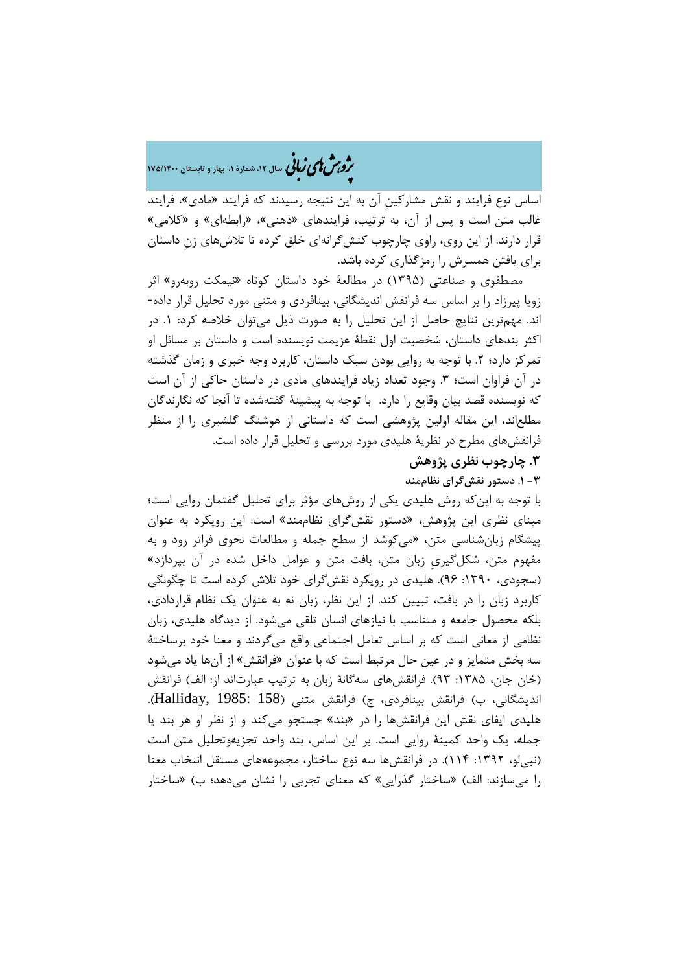�ی زبا **، سال ،12 شمارة ،1 بهار و تابستان 175/1400** � �و ی �ش

اساس نوع فرایند و نقش مشارکینِ آن به این نتیجه رسیدند که فرایند «مادي»، فرایند غالب متن است و پس از آن، به ترتیب، فرایندهاي «ذهنی»، «رابطهاي» و «کلامی» قرار دارند. از این روي، راوي چارچوب کنشگرانهاي خلق کرده تا تلاشهاي زنِ داستان براي یافتن همسرش را رمزگذاري کرده باشد.

 مصطفوي و صناعتی (1395) در مطالعۀ خود داستان کوتاه «نیمکت روبهرو» اثر زویا پیرزاد را بر اساس سه فرانقش اندیشگانی، بینافردي و متنی مورد تحلیل قرار داده- اند. مهمترین نتایج حاصل از این تحلیل را به صورت ذیل میتوان خلاصه کرد: .1 در اکثر بندهاي داستان، شخصیت اول نقطۀ عزیمت نویسنده است و داستان بر مسائل او تمرکز دارد؛ ۲. با توجه به روایی بودن سبک داستان، کاربرد وجه خبری و زمان گذشته در آن فراوان است؛ ٣. وجود تعداد زیاد فرایندهای مادی در داستان حاکی از آن است که نویسنده قصد بیان وقایع را دارد. با توجه به پیشینۀ گفتهشده تا آنجا که نگارندگان مطلعاند، این مقاله اولین پژوهشی است که داستانی از هوشنگ گلشیري را از منظر فرانقشهاي مطرح در نظریۀ هلیدي مورد بررسی و تحلیل قرار داده است.

## **.3 چارچوب نظري پژوهش**

**-3 .1 دستور نقشگراي نظاممند**

با توجه به اینکه روش هلیدي یکی از روشهاي مؤثر براي تحلیل گفتمان روایی است؛ مبناي نظري این پژوهش، «دستور نقشگراي نظاممند» است. این رویکرد به عنوان پیشگام زبانشناسی متن، «میکوشد از سطح جمله و مطالعات نحوي فراتر رود و به مفهوم متن، شکلگیريِ زبان متن، بافت متن و عوامل داخل شده در آن بپردازد» (سجودي، :1390 96). هلیدي در رویکرد نقشگراي خود تلاش کرده است تا چگونگی کاربرد زبان را در بافت، تبیین کند. از این نظر، زبان نه به عنوان یک نظام قراردادي، بلکه محصول جامعه و متناسب با نیازهاي انسان تلقی میشود. از دیدگاه هلیدي، زبان نظامی از معانی است که بر اساس تعامل اجتماعی واقع میگردند و معنا خود برساختۀ سه بخش متمایز و در عین حال مرتبط است که با عنوان «فرانقش» از آنها یاد میشود (خان جان، :1385 93). فرانقشهاي سهگانۀ زبان به ترتیب عبارتاند از: الف) فرانقش اندیشگانی، ب) فرانقش بینافردي، ج) فرانقش متنی (158 1985: ,Halliday(. هلیدي ایفاي نقش این فرانقشها را در «بند» جستجو میکند و از نظر او هر بند یا جمله، یک واحد کمینۀ روایی است. بر این اساس، بند واحد تجزیهوتحلیل متن است (نبیلو، :1392 114). در فرانقشها سه نوع ساختار، مجموعههاي مستقل انتخاب معنا را میسازند: الف) «ساختار گذرایی» که معناي تجربی را نشان میدهد؛ ب) «ساختار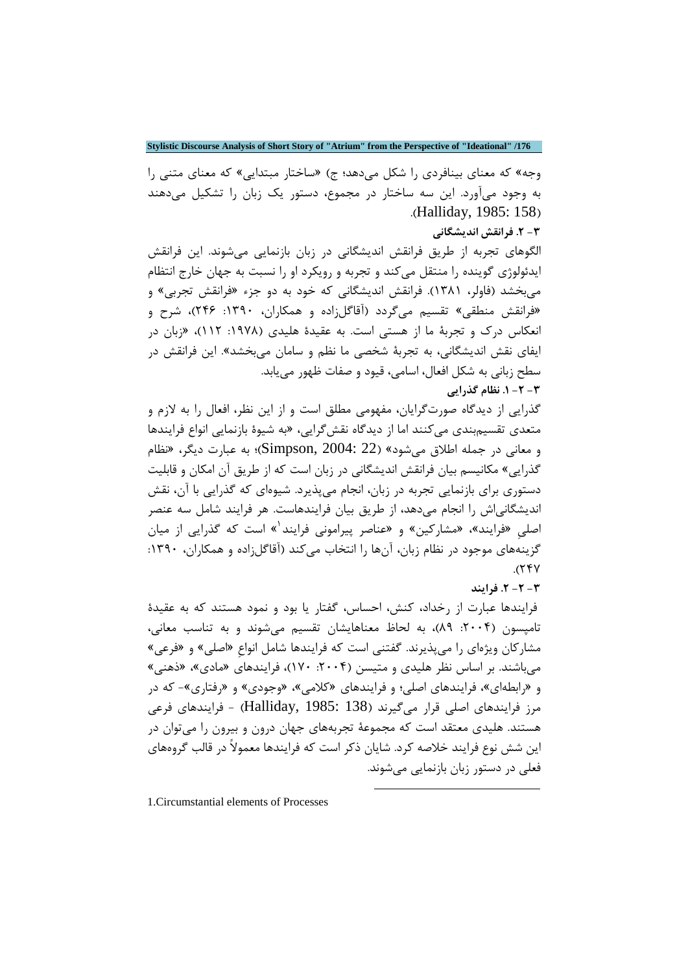وجه» که معناي بینافردي را شکل میدهد؛ ج) «ساختار مبتدایی» که معناي متنی را به وجود میآورد. این سه ساختار در مجموع، دستور یک زبان را تشکیل میدهند .(Halliday, 1985: 158)

**-3 .2 فرانقش اندیشگانی**

الگوهاي تجربه از طریق فرانقش اندیشگانی در زبان بازنمایی میشوند. این فرانقش ایدئولوژي گوینده را منتقل میکند و تجربه و رویکرد او را نسبت به جهان خارج انتظام میبخشد (فاولر، 1381). فرانقش اندیشگانی که خود به دو جزء «فرانقش تجربی» و «فرانقش منطقی» تقسیم میگردد (آقاگلزاده و همکاران، :1390 246)، شرح و انعکاس درك و تجربۀ ما از هستی است. به عقیدة هلیدي (:1978 112)، «زبان در ایفاي نقش اندیشگانی، به تجربۀ شخصی ما نظم و سامان میبخشد». این فرانقش در سطح زبانی به شکل افعال، اسامی، قیود و صفات ظهور مییابد. **-3 -2 .1 نظام گذرایی**

گذرایی از دیدگاه صورتگرایان، مفهومی مطلق است و از این نظر، افعال را به لازم و متعدي تقسیمبندي میکنند اما از دیدگاه نقشگرایی، «به شیوة بازنمایی انواع فرایندها و معانی در جمله اطلاق میشود» (22 2004: ,Simpson(؛ به عبارت دیگر، «نظام گذرایی» مکانیسم بیان فرانقش اندیشگانی در زبان است که از طریق آن امکان و قابلیت دستوري براي بازنمایی تجربه در زبان، انجام میپذیرد. شیوهاي که گذرایی با آن، نقش اندیشگانیاش را انجام میدهد، از طریق بیان فرایندهاست. هر فرایند شامل سه عنصر اصلیِ «فرایند»، «مشارکین» و «عناصر پیرامونی فرایند<sup>۱</sup>» است که گذرایی از میان گزینههاي موجود در نظام زبان، آنها را انتخاب میکند (آقاگلزاده و همکاران، :1390 ۲۴۷).

**-[3](#page-7-0) -2 .2 فرایند**

فرایندها عبارت از رخداد، کنش، احساس، گفتار یا بود و نمود هستند که به عقیدة تامپسون (۲۰۰۴: ۸۹)، به لحاظ معناهایشان تقسیم می شوند و به تناسب معانی، مشارکان ویژهاي را میپذیرند. گفتنی است که فرایندها شامل انواعِ «اصلی» و «فرعی» میباشند. بر اساس نظر هلیدي و متیسن (:2004 170)، فرایندهاي «مادي»، «ذهنی» و «رابطهاي»، فرایندهاي اصلی؛ و فرایندهاي «کلامی»، «وجودي» و «رفتاري»- که در مرز فرایندهاي اصلی قرار میگیرند (138 1985: ,Halliday (- فرایندهاي فرعی هستند. هلیدي معتقد است که مجموعۀ تجربههاي جهان درون و بیرون را میتوان در این شش نوع فرایند خلاصه کرد. شایان ذکر است که فرایندها معمولاً در قالب گروههاي فعلی در دستور زبان بازنمایی میشوند.

 $\overline{a}$ 

<span id="page-7-0"></span>1.Circumstantial elements of Processes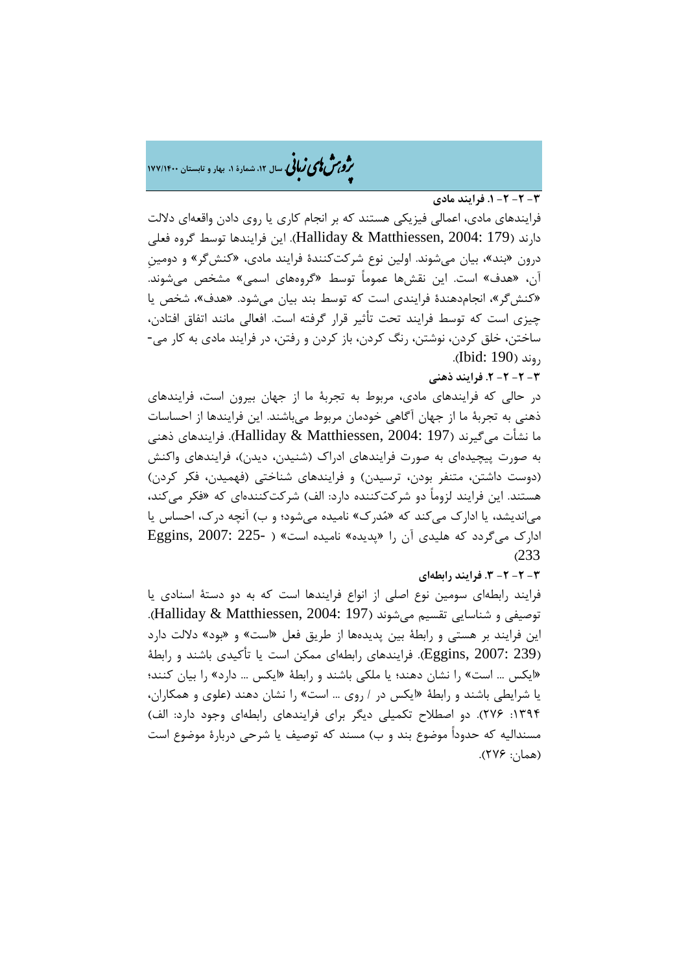�ی زبا **، سال ،12 شمارة ،1 بهار و تابستان 177/1400** � �و ی �ش

## **-3 -2 -2 .1 فرایند مادي**

فرایندهاي مادي، اعمالی فیزیکی هستند که بر انجام کاري یا روي دادن واقعهاي دلالت دارند (179 2004: ,Matthiessen & Halliday(. این فرایندها توسط گروه فعلی درون «بند»، بیان میشوند. اولین نوع شرکتکنندة فرایند مادي، «کنشگر» و دومینِ آن، «هدف» است. این نقشها عموماً توسط «گروههاي اسمی» مشخص میشوند. «کنشگر»، انجامدهندة فرایندي است که توسط بند بیان میشود. «هدف»، شخص یا چیزي است که توسط فرایند تحت تأثیر قرار گرفته است. افعالی مانند اتفاق افتادن، ساختن، خلق کردن، نوشتن، رنگ کردن، باز کردن و رفتن، در فرایند مادي به کار می- روند (190 :Ibid).

## **-3 -2 -2 .2 فرایند ذهنی**

در حالی که فرایندهاي مادي، مربوط به تجربۀ ما از جهان بیرون است، فرایندهاي ذهنی به تجربۀ ما از جهان آگاهی خودمان مربوط میباشند. این فرایندها از احساسات ما نشأت میگیرند (197 2004: ,Matthiessen & Halliday(. فرایندهاي ذهنی به صورت پیچیدهاي به صورت فرایندهاي ادراك (شنیدن، دیدن)، فرایندهاي واکنش (دوست داشتن، متنفر بودن، ترسیدن) و فرایندهاي شناختی (فهمیدن، فکر کردن) هستند. این فرایند لزوماً دو شرکتکننده دارد: الف) شرکتکنندهاي که «فکر میکند، میاندیشد، یا ادارك میکند که «مدرك» نامیده میشود؛ و ب) آنچه درك، احساس یا ادارك میگردد که هلیدي آن را «پدیده» نامیده است» ( 225- 2007: ,Eggins (233

## **-3 -2 -2 .3 فرایند رابطهاي**

فرایند رابطهاي سومین نوع اصلی از انواع فرایندها است که به دو دستۀ اسنادي یا توصیفی و شناسایی تقسیم میشوند (197 2004: ,Matthiessen & Halliday(. این فرایند بر هستی و رابطۀ بین پدیدهها از طریق فعل «است» و «بود» دلالت دارد (239 2007: ,Eggins(. فرایندهاي رابطهاي ممکن است یا تأکیدي باشند و رابطۀ «ایکس ... است» را نشان دهند؛ یا ملکی باشند و رابطۀ «ایکس ... دارد» را بیان کنند؛ یا شرایطی باشند و رابطۀ «ایکس در / روي ... است» را نشان دهند (علوي و همکاران، :1394 276). دو اصطلاح تکمیلی دیگر براي فرایندهاي رابطهاي وجود دارد: الف) مسندالیه که حدوداً موضوع بند و ب) مسند که توصیف یا شرحی دربارة موضوع است (همان: 276).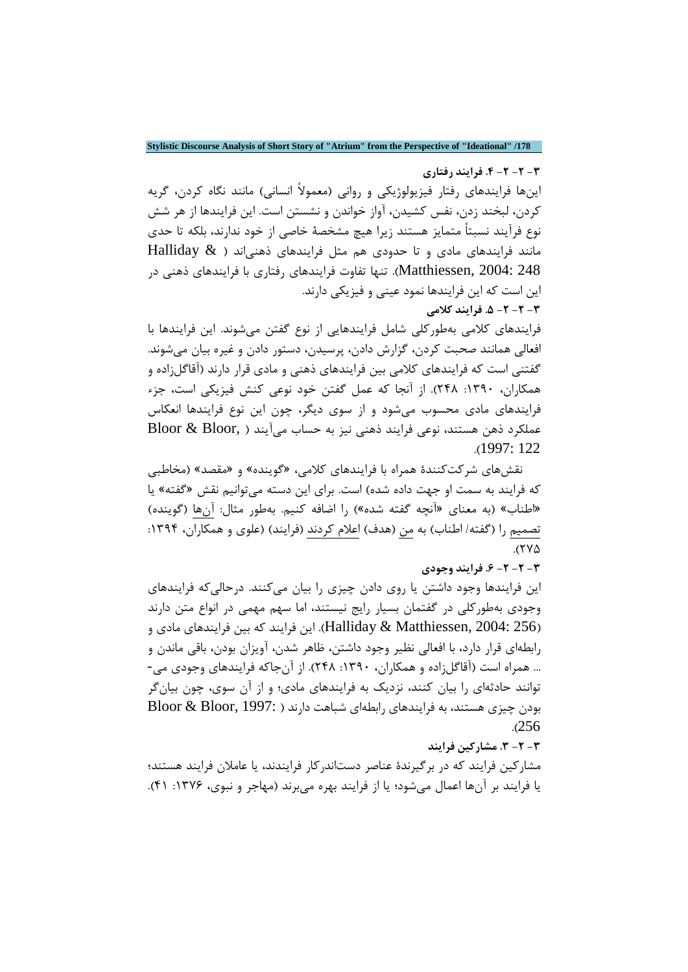## **-3 -2 -2 .4 فرایند رفتاري**

اینها فرایندهاي رفتار فیزیولوژیکی و روانی (معمولاً انسانی) مانند نگاه کردن، گریه کردن، لبخند زدن، نفس کشیدن، آواز خواندن و نشستن است. این فرایندها از هر شش نوع فرآیند نسبتاً متمایز هستند زیرا هیچ مشخصۀ خاصی از خود ندارند، بلکه تا حدي مانند فرایندهاي مادي و تا حدودي هم مثل فرایندهاي ذهنیاند ( & Halliday 248 2004: ,Matthiessen(. تنها تفاوت فرایندهاي رفتاري با فرایندهاي ذهنی در این است که این فرایندها نمود عینی و فیزیکی دارند. **-3 -2 -2 .5 فرایند کلامی**

فرایندهاي کلامی بهطورکلی شامل فرایندهایی از نوع گفتن میشوند. این فرایندها با افعالی همانند صحبت کردن، گزارش دادن، پرسیدن، دستور دادن و غیره بیان میشوند. گفتنی است که فرایندهاي کلامی بین فرایندهاي ذهنی و مادي قرار دارند (آقاگلزاده و همکاران، :1390 248). از آنجا که عمل گفتن خود نوعی کنش فیزیکی است، جزء فرایندهاي مادي محسوب میشود و از سوي دیگر، چون این نوع فرایندها انعکاس عملکرد ذهن هستند، نوعی فرایند ذهنی نیز به حساب میآیند ( ,Bloor & Bloor .(1997: 122

 نقشهاي شرکتکنندة همراه با فرایندهاي کلامی، «گوینده» و «مقصد» (مخاطبی که فرایند به سمت او جهت داده شده) است. براي این دسته میتوانیم نقش «گفته» یا «اطناب» (به معناي «آنچه گفته شده») را اضافه کنیم. بهطور مثال: آنها (گوینده) تصمیم را (گفته/ اطناب) به من (هدف) اعلام کردند (فرایند) (علوی و همکاران، ۱۳۹۴:  $.(\Upsilon\vee\Delta)$ 

## **-3 -2 -2 .6 فرایند وجودي**

این فرایندها وجود داشتن یا روي دادن چیزي را بیان میکنند. درحالیکه فرایندهاي وجودي بهطورکلی در گفتمان بسیار رایج نیستند، اما سهم مهمی در انواع متن دارند این فرایند که بین فرایندهاي مادي و.Halliday & Matthiessen, 2004: 256) رابطهاي قرار دارد، با افعالی نظیر وجود داشتن، ظاهر شدن، آویزان بودن، باقی ماندن و ... همراه است (آقاگلزاده و همکاران، :1390 248). از آنجاکه فرایندهاي وجودي می- توانند حادثهاي را بیان کنند، نزدیک به فرایندهاي مادي؛ و از آن سوي، چون بیانگر بودن چیزي هستند، به فرایندهاي رابطهاي شباهت دارند ( 1997: ,Bloor & Bloor .(256

### **-3 -2 .3 مشارکین فرایند**

مشارکین فرایند که در برگیرندة عناصر دستاندرکار فرایندند، یا عاملان فرایند هستند؛ یا فرایند بر آنها اعمال میشود؛ یا از فرایند بهره میبرند (مهاجر و نبوي، :1376 41).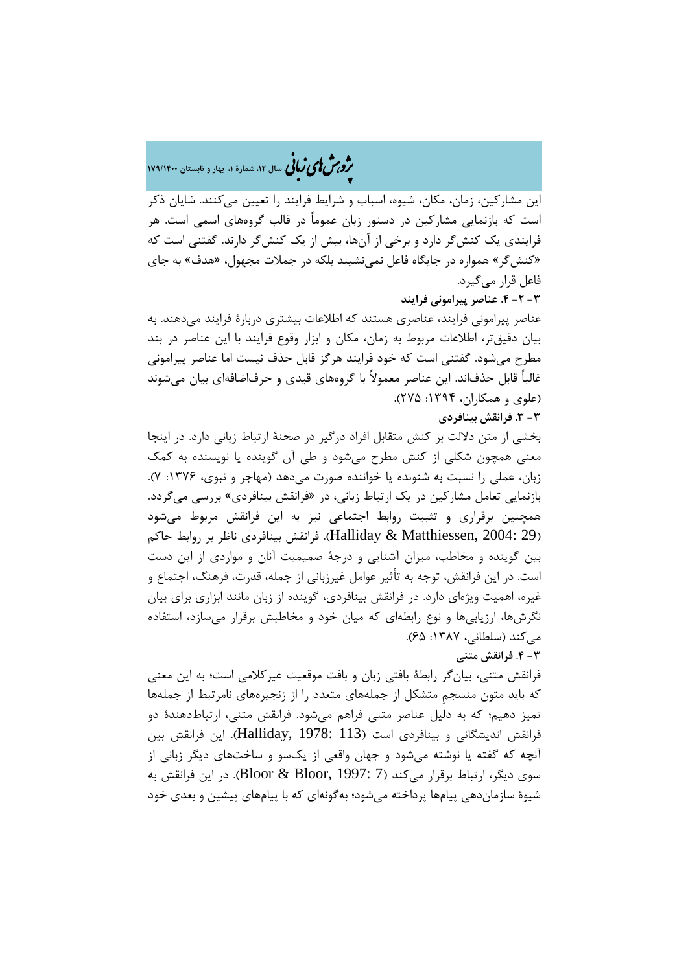## �ی زبا **، سال ،12 شمارة ،1 بهار و تابستان 179/1400** � �و ی �ش

این مشارکین، زمان، مکان، شیوه، اسباب و شرایط فرایند را تعیین میکنند. شایان ذکر است که بازنمایی مشارکین در دستور زبان عموماً در قالب گروههاي اسمی است. هر فرایندي یک کنشگر دارد و برخی از آنها، بیش از یک کنشگر دارند. گفتنی است که «کنشگر» همواره در جایگاه فاعل نمینشیند بلکه در جملات مجهول، «هدف» به جاي فاعل قرار میگیرد.

**-3 -2 .4 عناصر پیرامونی فرایند**

عناصر پیرامونی فرایند، عناصري هستند که اطلاعات بیشتري دربارة فرایند میدهند. به بیان دقیقتر، اطلاعات مربوط به زمان، مکان و ابزار وقوع فرایند با این عناصر در بند مطرح میشود. گفتنی است که خود فرایند هرگز قابل حذف نیست اما عناصر پیرامونی غالباً قابل حذفاند. این عناصر معمولاً با گروههاي قیدي و حرفاضافهاي بیان میشوند (علوي و همکاران، :1394 275).

**-3 .3 فرانقش بینافردي**

بخشی از متن دلالت بر کنش متقابل افراد درگیر در صحنۀ ارتباط زبانی دارد. در اینجا معنی همچون شکلی از کنش مطرح میشود و طی آن گوینده یا نویسنده به کمک زبان، عملی را نسبت به شنونده یا خواننده صورت میدهد (مهاجر و نبوي، :1376 7). بازنمایی تعامل مشارکین در یک ارتباط زبانی، در «فرانقش بینافردي» بررسی میگردد. همچنین برقراري و تثبیت روابط اجتماعی نیز به این فرانقش مربوط میشود (29 2004: ,Matthiessen & Halliday(. فرانقش بینافردي ناظر بر روابط حاکم بین گوینده و مخاطب، میزان آشنایی و درجۀ صمیمیت آنان و مواردي از این دست است. در این فرانقش، توجه به تأثیر عوامل غیرزبانی از جمله، قدرت، فرهنگ، اجتماع و غیره، اهمیت ویژهاي دارد. در فرانقش بینافردي، گوینده از زبان مانند ابزاري براي بیان نگرشها، ارزیابیها و نوع رابطهاي که میان خود و مخاطبش برقرار میسازد، استفاده میکند (سلطانی، ۱۳۸۷: ۶۵).

**-3 .4 فرانقش متنی**

فرانقش متنی، بیانگر رابطۀ بافتی زبان و بافت موقعیت غیرکلامی است؛ به این معنی که باید متون منسجمِ متشکل از جملههاي متعدد را از زنجیرههاي نامرتبط از جملهها تمیز دهیم؛ که به دلیل عناصر متنی فراهم میشود. فرانقش متنی، ارتباطدهندة دو فرانقش اندیشگانی و بینافردي است (113 1978: ,Halliday(. این فرانقش بین آنچه که گفته یا نوشته میشود و جهان واقعی از یکسو و ساختهاي دیگر زبانی از سوي دیگر، ارتباط برقرار میکند (7 1997: ,Bloor & Bloor(. در این فرانقش به شیوة سازماندهی پیامها پرداخته میشود؛ بهگونهاي که با پیامهاي پیشین و بعدي خود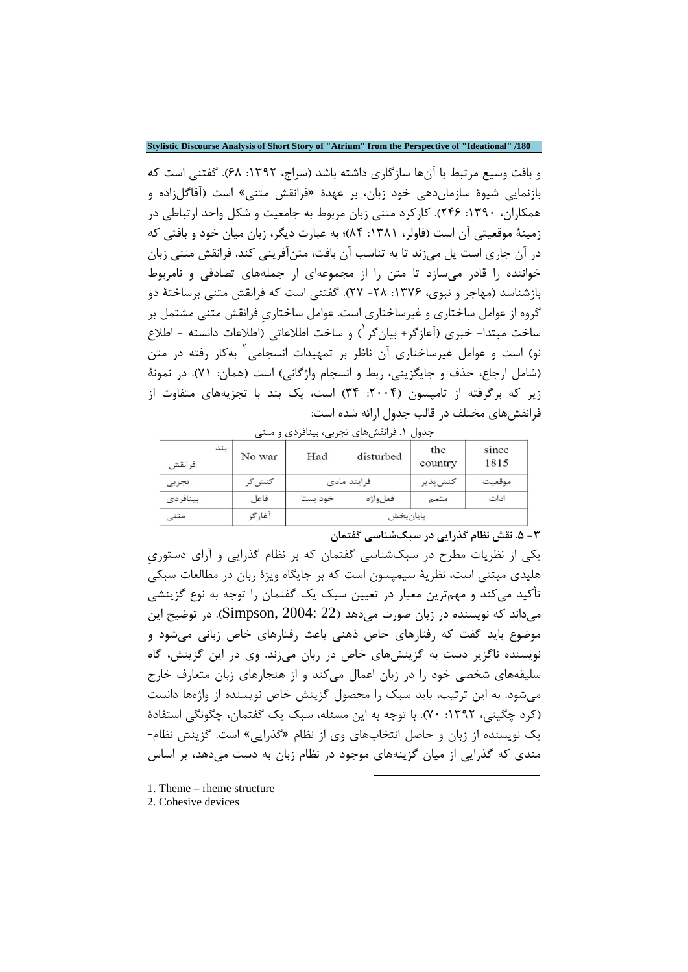و بافت وسیع مرتبط با آنها سازگاري داشته باشد (سراج، :1392 68). گفتنی است که بازنمایی شیوة سازماندهی خود زبان، بر عهدة «فرانقش متنی» است (آقاگلزاده و همکاران، :1390 246). کارکرد متنی زبان مربوط به جامعیت و شکل واحد ارتباطی در زمینۀ موقعیتی آن است (فاولر، :1381 84)؛ به عبارت دیگر، زبان میان خود و بافتی که در آن جاري است پل میزند تا به تناسب آن بافت، متنآفرینی کند. فرانقش متنی زبان خواننده را قادر میسازد تا متن را از مجموعهاي از جملههاي تصادفی و نامربوط بازشناسد (مهاجر و نبوی، ۱۳۷۶: ۲۸– ۲۷). گفتنی است که فرانقش متنی برساختۀ دو گروه از عوامل ساختاري و غیرساختاري است. عوامل ساختاريِ فرانقش متنی مشتمل بر ساخت مبتدا- خبری (آغازگر+ بیانگر <sup>\</sup>) و ساخت اطلاعاتی (اطلاعات دانسته + اطلاع بو) است و عوامل غیرساختاری آن ناظر بر تمهیدات انسجامی<sup>۲</sup> بهکا<sub>ر د</sub>فته در متن (شامل ارجاع، حذف و جایگزینی، ربط و انسجام واژگانی) است (همان: 71). در نمونۀ زیر که برگرفته از تامپسون (:2004 34) است، یک بند با تجزیههاي متفاوت از فرانقشهاي مختلف در قالب جدول ارائه شده است:

| بخون ۰۰ تر مسن متی تابع بی بیستر دی و مسی |     |        |             |           |                |               |
|-------------------------------------------|-----|--------|-------------|-----------|----------------|---------------|
| فرانقش                                    | بند | No war | Had         | disturbed | the<br>country | since<br>1815 |
| تجربي                                     |     | كنش گر | فرايند مادى |           | كنش پذير       | موقعيت        |
| بينافردى                                  |     | فاعل   | خودايستا    | فعلواژه   | متمم           | ادات          |
| متنى                                      |     | آغازگر | پايانبخش    |           |                |               |

جدول .1 فرانقشهاي تجربی، بینافردي و متنی

**-3 .5 نقش نظام گذرایی در سبکشناسی گفتمان**

یکی از نظریات مطرح در سبکشناسی گفتمان که بر نظام گذرایی و آراي دستوريِ هلیدي مبتنی است، نظریۀ سیمپسون است که بر جایگاه ویژة زبان در مطالعات سبکی تأکید میکند و مهمترین معیار در تعیین سبک یک گفتمان را توجه به نوع گزینشی میداند که نویسنده در زبان صورت میدهد (22 2004: ,Simpson(. در توضیح این موضوع باید گفت که رفتارهاي خاص ذهنی باعث رفتارهاي خاص زبانی میشود و نویسنده ناگزیر دست به گزینشهاي خاص در زبان میزند. وي در این گزینش، گاه سلیقههاي شخصی خود را در زبان اعمال میکند و از هنجارهاي زبان متعارف خارج میشود. به این ترتیب، باید سبک را محصول گزینش خاص نویسنده از واژهها دانست (کرد چگینی، ١٣٩٢: ٧٠). با توجه به این مسئله، سبک یک گفتمان، چگونگی استفادهٔ یک نویسنده از زبان و حاصل انتخابهاي وي از نظام «گذرایی» است. گزینش نظام- مندي که گذرایی از میان گزینههاي موجود در نظام زبان به دست میدهد، بر اساس

**.** 

- <span id="page-11-0"></span>1. Theme – rheme structure
- 2. Cohesive devices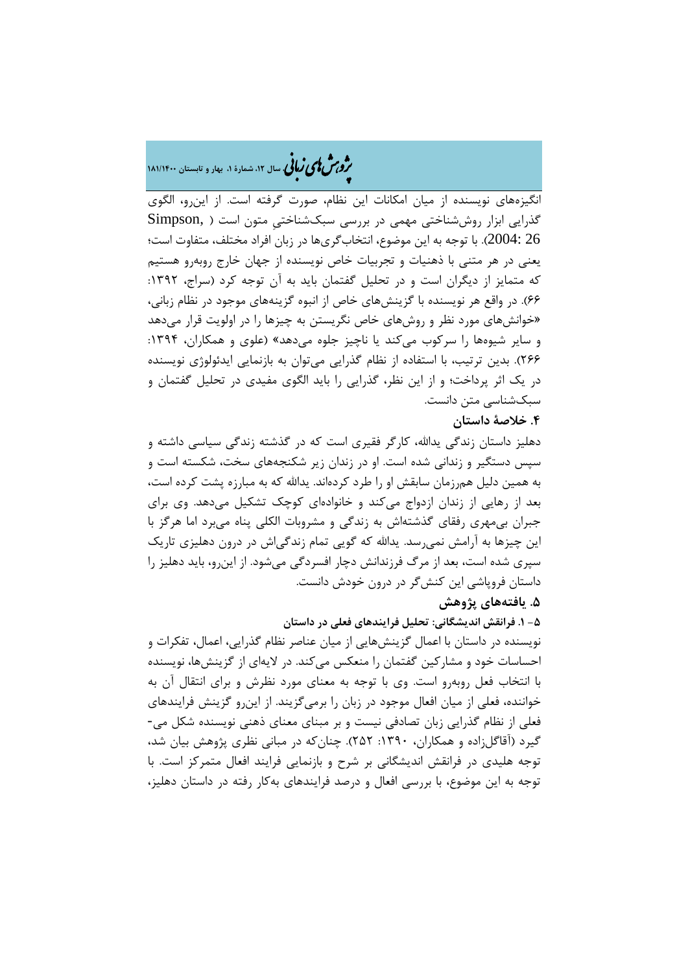# �ی زبا **، سال ،12 شمارة ،1 بهار و تابستان 181/1400** � �و ی �ش

انگیزههاي نویسنده از میان امکانات این نظام، صورت گرفته است. از اینرو، الگوي گذرایی ابزار روششناختی مهمی در بررسی سبکشناختیِ متون است ( ,Simpson 26 2004:). با توجه به این موضوع، انتخابگريها در زبان افراد مختلف، متفاوت است؛ یعنی در هر متنی با ذهنیات و تجربیات خاص نویسنده از جهان خارج روبهرو هستیم که متمایز از دیگران است و در تحلیل گفتمان باید به آن توجه کرد (سراج، ۱۳۹۲: 66). در واقع هر نویسنده با گزینشهاي خاص از انبوه گزینههاي موجود در نظام زبانی، «خوانشهاي مورد نظر و روشهاي خاص نگریستن به چیزها را در اولویت قرار میدهد و سایر شیوهها را سرکوب میکند یا ناچیز جلوه میدهد» (علوي و همکاران، :1394 266). بدین ترتیب، با استفاده از نظام گذرایی میتوان به بازنمایی ایدئولوژي نویسنده در یک اثر پرداخت؛ و از این نظر، گذرایی را باید الگوي مفیدي در تحلیل گفتمان و سبکشناسی متن دانست.

## **.4 خلاصۀ داستان**

دهلیز داستان زندگی یداالله، کارگر فقیري است که در گذشته زندگی سیاسی داشته و سپس دستگیر و زندانی شده است. او در زندان زیر شکنجههاي سخت، شکسته است و به همین دلیل همرزمان سابقش او را طرد کردهاند. یداالله که به مبارزه پشت کرده است، بعد از رهایی از زندان ازدواج میکند و خانوادهاي کوچک تشکیل میدهد. وي براي جبران بیمهري رفقاي گذشتهاش به زندگی و مشروبات الکلی پناه میبرد اما هرگز با این چیزها به آرامش نمیرسد. یداالله که گویی تمام زندگیاش در درون دهلیزي تاریک سپري شده است، بعد از مرگ فرزندانش دچار افسردگی میشود. از اینرو، باید دهلیز را داستان فروپاشی این کنشگر در درون خودش دانست.

## **.5 یافتههاي پژوهش**

**-5 .1 فرانقش اندیشگانی: تحلیل فرایندهاي فعلی در داستان**

نویسنده در داستان با اعمال گزینشهایی از میان عناصر نظام گذرایی، اعمال، تفکرات و احساسات خود و مشارکین گفتمان را منعکس میکند. در لایهاي از گزینشها، نویسنده با انتخاب فعل روبهرو است. وي با توجه به معناي مورد نظرش و براي انتقال آن به خواننده، فعلی از میان افعال موجود در زبان را برمیگزیند. از اینرو گزینش فرایندهاي فعلی از نظام گذرایی زبان تصادفی نیست و بر مبناي معناي ذهنی نویسنده شکل می- گیرد (آقاگلزاده و همکاران، :1390 252). چنانکه در مبانی نظري پژوهش بیان شد، توجه هلیدي در فرانقش اندیشگانی بر شرح و بازنمایی فرایند افعال متمرکز است. با توجه به این موضوع، با بررسی افعال و درصد فرایندهاي بهکار رفته در داستان دهلیز،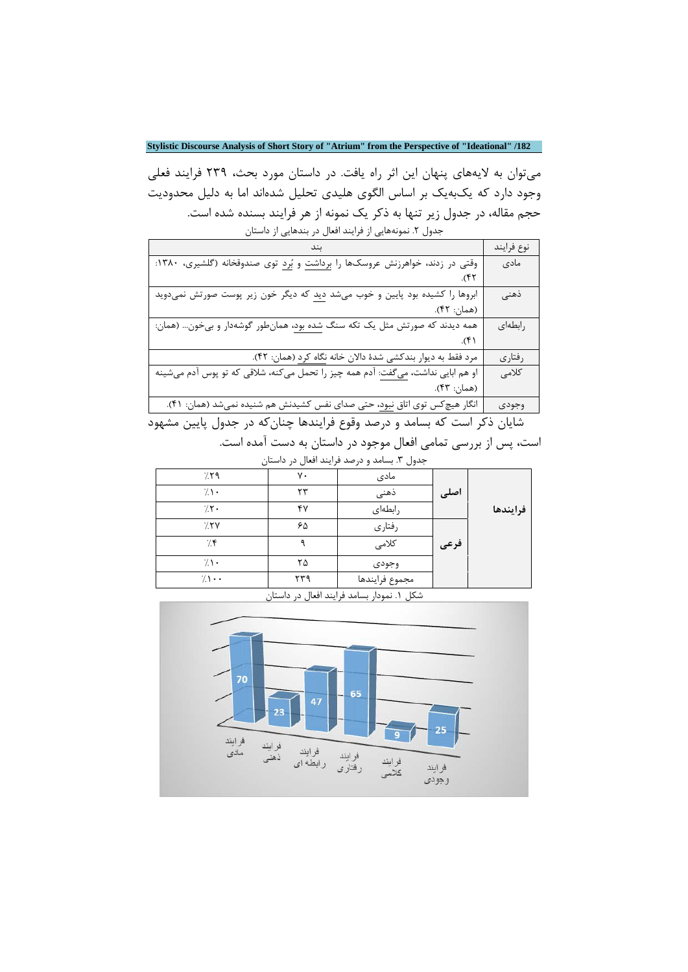میتوان به لایههاي پنهان این اثر راه یافت. در داستان مورد بحث، 239 فرایند فعلی وجود دارد که یکبهیک بر اساس الگوي هلیدي تحلیل شدهاند اما به دلیل محدودیت حجم مقاله، در جدول زیر تنها به ذکر یک نمونه از هر فرایند بسنده شده است. جدول ۲. نمونههایی از فرایند افعال در بندهایی از داستان

| ـ ىند                                                                                             | نوع فرايند |
|---------------------------------------------------------------------------------------------------|------------|
| وقتی در زدند، خواهرزنش عروسکها را برداشت و بُرد توی صندوقخانه (گلشیری، ۱۳۸۰:                      | مادی       |
| ۴۲).                                                                                              |            |
| ابروها را کشیده بود پایین و خوب میشد <u>دید</u> که دیگر خون زیر پوست صورتش نمیدوید                | ذهنى       |
| (همان: ۴۲).                                                                                       |            |
| همه دیدند که صورتش مثل یک تکه سنگ <u>شده بود</u> ، همانطور گوشهدار و بیخون… (همان:                | رابطهاى    |
|                                                                                                   |            |
| مرد فقط به ديوار بندكشي شدة دالان خانه نگاه كرد (همان: ۴۲).                                       | رفتاري     |
| او هم ابایی نداشت، <u>می<sup></sup>گفت:</u> آدم همه چیز را تحمل میکنه، شلاقی که تو پوس آدم میشینه | كلامى      |
| (همان: ۴۳).                                                                                       |            |
| انگار هیچ <i>ک</i> س توی اتاق <u>نبود</u> ، حتی صدای نفس کشیدنش هم شنیده نمیشد (همان: ۴۱).        | وجودى      |

 شایان ذکر است که بسامد و درصد وقوع فرایندها چنانکه در جدول پایین مشهود است، پس از بررسی تمامی افعال موجود در داستان به دست آمده است. جدول ٣. بسامد و درصد فرایند افعال در داستان

| ັ               | - - -<br>. . | .              |      |          |
|-----------------|--------------|----------------|------|----------|
| 7.59            | ٧٠           | مادى           |      |          |
| $\gamma \cdot$  | ۲۳           | ذهني           | اصلی |          |
| 7.7.            | ۴٧           | رابطهاى        |      | فرايندها |
| 7.7V            | ۶۵           | رفتاري         |      |          |
| 7.5             |              | كلامى          | فرعى |          |
| $7 \cdot$       | ۲۵           | وجودى          |      |          |
| $7 \cdot \cdot$ | ۲۳۹          | مجموع فرايندها |      |          |

شکل .1 نمودار بسامد فرایند افعال در داستان

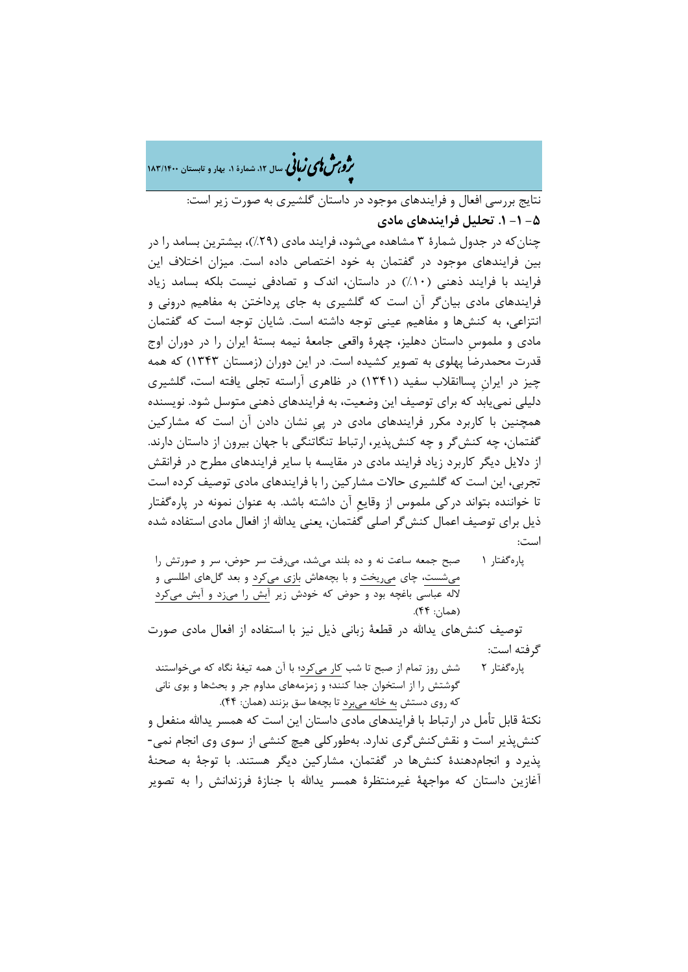�ی زبا **، سال ،12 شمارة ،1 بهار و تابستان 183/1400** � �و ی �ش

نتایج بررسی افعال و فرایندهاي موجود در داستان گلشیري به صورت زیر است: **-5 -1 .1 تحلیل فرایندهاي مادي** چنانکه در جدول شمارة 3 مشاهده میشود، فرایند مادي (%29)، بیشترین بسامد را در بین فرایندهاي موجود در گفتمان به خود اختصاص داده است. میزان اختلاف این فرایند با فرایند ذهنی (%10) در داستان، اندك و تصادفی نیست بلکه بسامد زیاد

فرایندهاي مادي بیانگر آن است که گلشیري به جاي پرداختن به مفاهیم درونی و انتزاعی، به کنشها و مفاهیم عینی توجه داشته است. شایان توجه است که گفتمان مادي و ملموسِ داستان دهلیز، چهرة واقعی جامعۀ نیمه بستۀ ایران را در دوران اوج قدرت محمدرضا پهلوي به تصویر کشیده است. در این دوران (زمستان 1343) که همه چیز در ایرانِ پساانقلاب سفید (1341) در ظاهري آراسته تجلی یافته است، گلشیري دلیلی نمییابد که براي توصیف این وضعیت، به فرایندهاي ذهنی متوسل شود. نویسنده همچنین با کاربرد مکرر فرایندهاي مادي در پیِ نشان دادن آن است که مشارکین گفتمان، چه کنشگر و چه کنشپذیر، ارتباط تنگاتنگی با جهان بیرون از داستان دارند. از دلایل دیگر کاربرد زیاد فرایند مادي در مقایسه با سایر فرایندهاي مطرح در فرانقش تجربی، این است که گلشیري حالات مشارکین را با فرایندهاي مادي توصیف کرده است تا خواننده بتواند درکی ملموس از وقایعِ آن داشته باشد. به عنوان نمونه در پارهگفتار ذیل براي توصیف اعمال کنشگر اصلی گفتمان، یعنی یداالله از افعال مادي استفاده شده است:

پارهگفتار 1 صبح جمعه ساعت نه و ده بلند میشد، میرفت سر حوض، سر و صورتش را میشست، چاي میریخت و با بچههاش بازي میکرد و بعد گلهاي اطلسی و لاله عباسی باغچه بود و حوض که خودش زیر آبش را میزد و آبش میکرد (همان: 44).

 توصیف کنشهاي یداالله در قطعۀ زبانی ذیل نیز با استفاده از افعال مادي صورت گرفته است:

پارهگفتار 2 شش روز تمام از صبح تا شب کار میکرد؛ با آن همه تیغۀ نگاه که میخواستند گوشتش را از استخوان جدا کنند؛ و زمزمههاي مداوم جر و بحثها و بوي نانی که روي دستش به خانه میبرد تا بچهها سق بزنند (همان: 44).

نکتۀ قابل تأمل در ارتباط با فرایندهاي مادي داستان این است که همسر یداالله منفعل و کنشپذیر است و نقشکنشگري ندارد. بهطورکلی هیچ کنشی از سوي وي انجام نمی- پذیرد و انجامدهندة کنشها در گفتمان، مشارکین دیگر هستند. با توجۀ به صحنۀ آغازین داستان که مواجهۀ غیرمنتظرة همسر یداالله با جنازة فرزندانش را به تصویر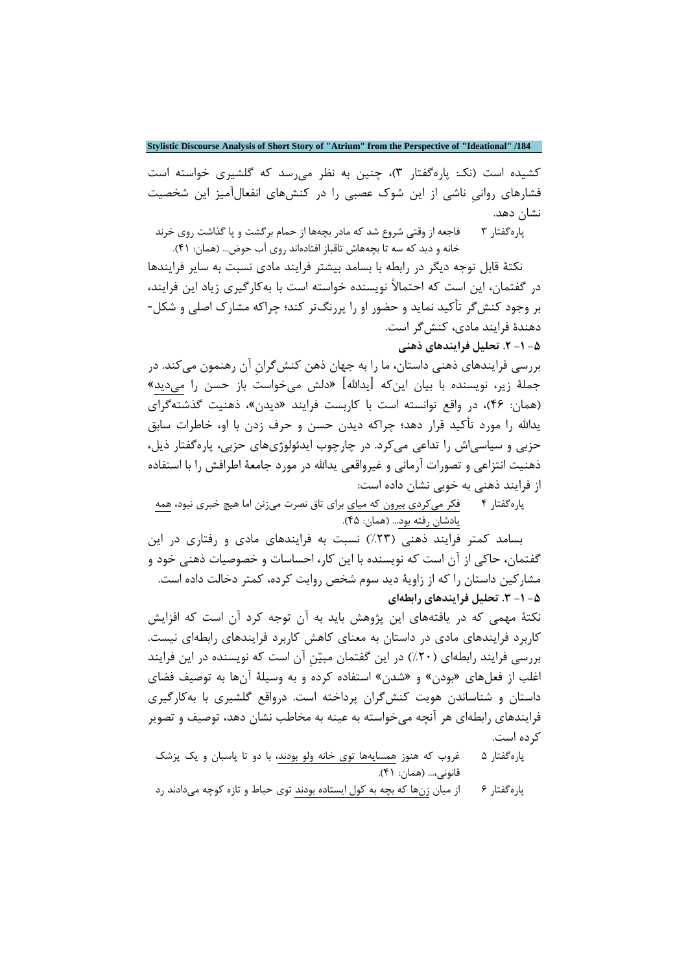کشیده است (نکـ: پارهگفتار 3)، چنین به نظر میرسد که گلشیري خواسته است فشارهاي روانیِ ناشی از این شوك عصبی را در کنشهاي انفعالآمیز این شخصیت نشان دهد.

پارهگفتار 3 فاجعه از وقتی شروع شد که مادر بچهها از حمام برگشت و پا گذاشت روي خرند خانه و دید که سه تا بچههاش تاقباز افتادهاند روي آب حوض... (همان: 41).

 نکتۀ قابل توجه دیگر در رابطه با بسامد بیشتر فرایند مادي نسبت به سایر فرایندها در گفتمان، این است که احتمالاً نویسنده خواسته است با بهکارگیري زیاد این فرایند، بر وجود کنشگر تأکید نماید و حضور او را پررنگتر کند؛ چراکه مشارك اصلی و شکل- دهندة فرایند مادي، کنشگر است.

**-5 -1 .2 تحلیل فرایندهاي ذهنی**

بررسی فرایندهاي ذهنی داستان، ما را به جهان ذهن کنشگرانِ آن رهنمون میکند. در جملۀ زیر، نویسنده با بیان اینکه [یداالله] «دلش میخواست باز حسن را میدید» (همان: 46)، در واقع توانسته است با کاربست فرایند «دیدن»، ذهنیت گذشتهگراي یداالله را مورد تأکید قرار دهد؛ چراکه دیدن حسن و حرف زدن با او، خاطرات سابق حزبی و سیاسیاش را تداعی میکرد. در چارچوب ایدئولوژيهاي حزبی، پارهگفتار ذیل، ذهنیت انتزاعی و تصورات آرمانی و غیرواقعی یداالله در مورد جامعۀ اطرافش را با استفاده از فرایند ذهنی به خوبی نشان داده است:

پارهگفتار ۴  $\frac{(\mathbf{x}-\mathbf{y})}{2}$  فکر میکردی بیرون که میای برای تاق نصرت میزنن اما هیچ خبری نبود، <u>همه</u> یادشان رفته بود... (همان: 45).

 بسامد کمتر فرایند ذهنی (%23) نسبت به فرایندهاي مادي و رفتاري در این گفتمان، حاکی از آن است که نویسنده با این کار، احساسات و خصوصیات ذهنی خود و مشارکین داستان را که از زاویۀ دید سوم شخص روایت کرده، کمتر دخالت داده است. **-5 -1 .3 تحلیل فرایندهاي رابطهاي**

نکتۀ مهمی که در یافتههاي این پژوهش باید به آن توجه کرد آن است که افزایش کاربرد فرایندهاي مادي در داستان به معناي کاهش کاربرد فرایندهاي رابطهاي نیست. بررسی فرایند رابطهاي (%20) در این گفتمان مبینِ آن است که نویسنده در این فرایند اغلب از فعلهاي «بودن» و «شدن» استفاده کرده و به وسیلۀ آنها به توصیف فضاي داستان و شناساندن هویت کنشگران پرداخته است. درواقع گلشیري با بهکارگیري فرایندهاي رابطهاي هر آنچه میخواسته به عینه به مخاطب نشان دهد، توصیف و تصویر کرده است.

- پارهگفتار ۵ ٪ غروب که هنوز <u>همسایهها توی خانه ولو بودند</u>، با دو تا پاسبان و یک پزشک قانونی...، (همان: 41).
- پارهگفتار 6 از میان زنها که بچه به کول ایستاده بودند توي حیاط و تازه کوچه میدادند رد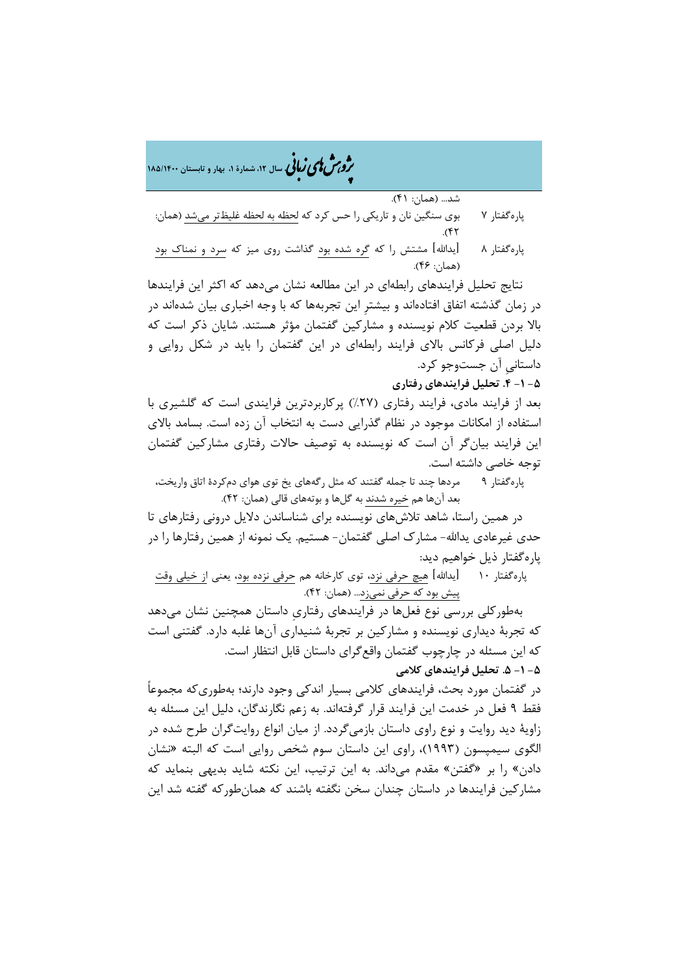�ی زبا **، سال ،12 شمارة ،1 بهار و تابستان 185/1400** � �و ی �ش

شد... (همان: 41).

- پارهگفتار 7 بوي سنگین نان و تاریکی را حس کرد که لحظه به لحظه غلیظتر میشد (همان:  $(57)$
- پارهگفتار 8 [یداالله] مشتش را که گره شده بود گذاشت روي میز که سرد و نمناك بود (همان: 46).

 نتایج تحلیل فرایندهاي رابطهاي در این مطالعه نشان میدهد که اکثر این فرایندها در زمان گذشته اتفاق افتادهاند و بیشترِ این تجربهها که با وجه اخباري بیان شدهاند در بالا بردن قطعیت کلام نویسنده و مشارکین گفتمان مؤثر هستند. شایان ذکر است که دلیل اصلی فرکانس بالاي فرایند رابطهاي در این گفتمان را باید در شکل روایی و داستانیِ آن جستوجو کرد.

**-5 -1 .4 تحلیل فرایندهاي رفتاري**

بعد از فرایند مادي، فرایند رفتاري (%27) پرکاربردترین فرایندي است که گلشیري با استفاده از امکانات موجود در نظام گذرایی دست به انتخاب آن زده است. بسامد بالاي این فرایند بیانگر آن است که نویسنده به توصیف حالات رفتاري مشارکین گفتمان توجه خاصی داشته است.

پارهگفتار 9 مردها چند تا جمله گفتند که مثل رگههاي یخ توي هواي دمکردة اتاق واریخت، بعد آنها هم خیره شدند به گلها و بوتههاي قالی (همان: 42).

 در همین راستا، شاهد تلاشهاي نویسنده براي شناساندن دلایل درونی رفتارهاي تا حدي غیرعادي یداالله- مشارك اصلی گفتمان- هستیم. یک نمونه از همین رفتارها را در پارهگفتار ذیل خواهیم دید:

پارهگفتار 10 [یداالله] هیچ حرفی نزد، توي کارخانه هم حرفی نزده بود، یعنی از خیلی وقت پیش بود که حرفی نمیزد... (همان: 42).

 بهطورکلی بررسی نوع فعلها در فرایندهاي رفتاريِ داستان همچنین نشان میدهد که تجربۀ دیداري نویسنده و مشارکین بر تجربۀ شنیداري آنها غلبه دارد. گفتنی است که این مسئله در چارچوب گفتمان واقعگراي داستان قابل انتظار است. **-5 -1 .5 تحلیل فرایندهاي کلامی**

در گفتمان مورد بحث، فرایندهاي کلامی بسیار اندکی وجود دارند؛ بهطوريکه مجموعاً فقط 9 فعل در خدمت این فرایند قرار گرفتهاند. به زعم نگارندگان، دلیل این مسئله به زاویۀ دید روایت و نوع راوي داستان بازمیگردد. از میان انواع روایتگران طرح شده در الگوي سیمپسون (1993)، راوي این داستان سوم شخص روایی است که البته «نشان دادن» را بر «گفتن» مقدم میداند. به این ترتیب، این نکته شاید بدیهی بنماید که مشارکین فرایندها در داستان چندان سخن نگفته باشند که همانطورکه گفته شد این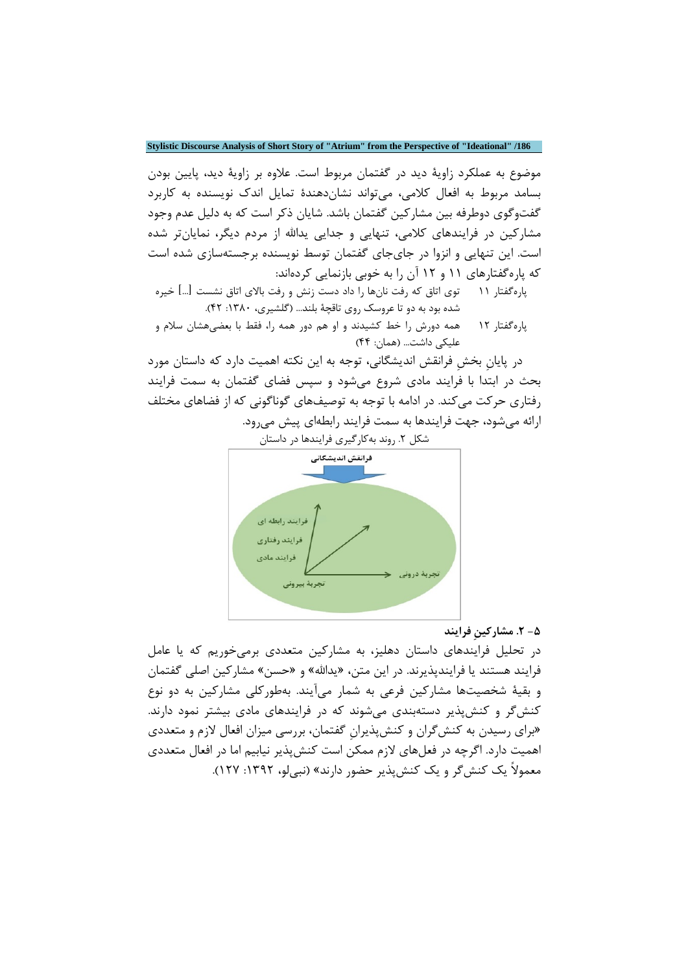موضوع به عملکرد زاویۀ دید در گفتمان مربوط است. علاوه بر زاویۀ دید، پایین بودن بسامد مربوط به افعال کلامی، میتواند نشاندهندة تمایل اندك نویسنده به کاربرد گفتوگوي دوطرفه بین مشارکین گفتمان باشد. شایان ذکر است که به دلیل عدم وجود مشارکین در فرایندهاي کلامی، تنهایی و جدایی یداالله از مردم دیگر، نمایانتر شده است. این تنهایی و انزوا در جايجاي گفتمان توسط نویسنده برجستهسازي شده است که پارهگفتارهاي 11 و 12 آن را به خوبی بازنمایی کردهاند:

- پارهگفتار 11 توي اتاق که رفت نانها را داد دست زنش و رفت بالاي اتاق نشست [...] خیره شده بود به دو تا عروسک روي تاقچۀ بلند... (گلشیري، :1380 42).
- پارهگفتار 12 همه دورش را خط کشیدند و او هم دور همه را، فقط با بعضیهشان سلام و علیکی داشت... (همان: 44)

 در پایانِ بخشِ فرانقش اندیشگانی، توجه به این نکته اهمیت دارد که داستان مورد بحث در ابتدا با فرایند مادي شروع میشود و سپس فضاي گفتمان به سمت فرایند رفتاري حرکت میکند. در ادامه با توجه به توصیفهاي گوناگونی که از فضاهاي مختلف ارائه میشود، جهت فرایندها به سمت فرایند رابطهاي پیش میرود.



**-5 .2 مشارکینِ فرایند**

در تحلیل فرایندهاي داستان دهلیز، به مشارکین متعددي برمیخوریم که یا عامل فرایند هستند یا فرایندپذیرند. در این متن، «یداالله» و «حسن» مشارکین اصلی گفتمان و بقیۀ شخصیتها مشارکین فرعی به شمار میآیند. بهطورکلی مشارکین به دو نوع کنشگر و کنشپذیر دستهبندي میشوند که در فرایندهاي مادي بیشتر نمود دارند. «براي رسیدن به کنشگران و کنشپذیرانِ گفتمان، بررسی میزان افعال لازم و متعددي اهمیت دارد. اگرچه در فعلهاي لازم ممکن است کنشپذیر نیابیم اما در افعال متعددي معمولاً یک کنشگر و یک کنشپذیر حضور دارند» (نبیلو، :1392 127).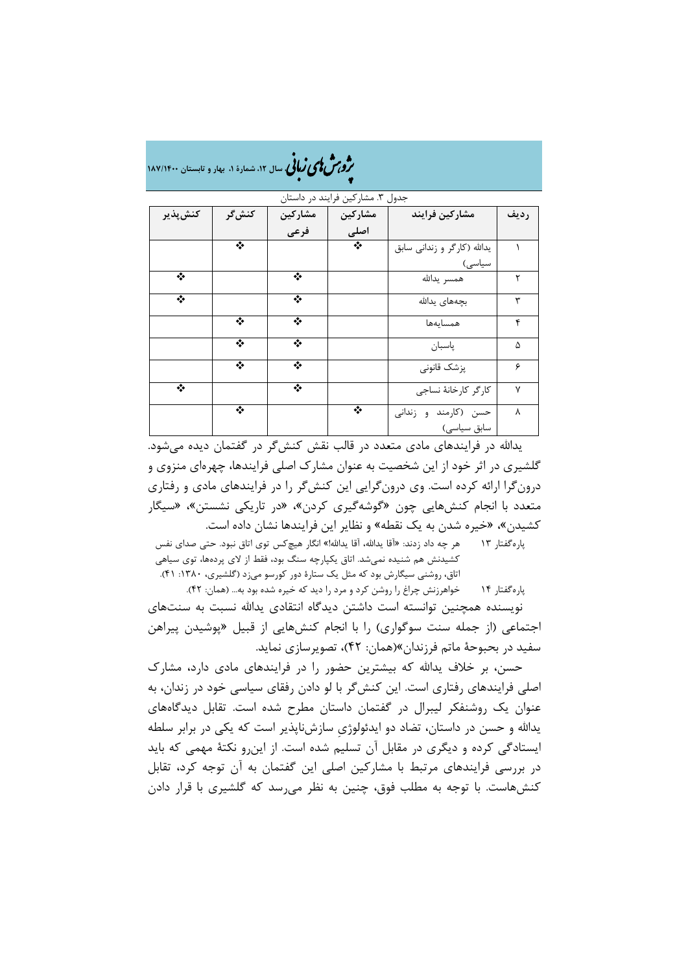| ده در میش کامی نرمافی سال ۱۲، شمارهٔ ۱، بهار و تابستان ۱۸۷/۱۴۰۰<br>پ |  |  |  |
|----------------------------------------------------------------------|--|--|--|
|----------------------------------------------------------------------|--|--|--|

| جدول ٣. مشاركين فرايند در داستان |       |         |         |                             |              |  |  |
|----------------------------------|-------|---------|---------|-----------------------------|--------------|--|--|
| كنش يذير                         | كنش5ر | مشاركين | مشاركين | مشاركين فرايند              | رديف         |  |  |
|                                  |       | فرعى    | اصلى    |                             |              |  |  |
|                                  | ❖     |         | ❖       | یدالله (کارگر و زندانی سابق |              |  |  |
|                                  |       |         |         | سیاسی)                      |              |  |  |
| ❖                                |       | ❖       |         | همسر يدالله                 | ۲            |  |  |
| ❖                                |       | ❖       |         | بچەھاي يدالله               | ٣            |  |  |
|                                  | ❖     | ❖       |         | همسايهها                    | ۴            |  |  |
|                                  | ❖     | ❖       |         | پاسبان                      | ۵            |  |  |
|                                  | ❖     | ❖       |         | پزشک قانونی                 | ۶            |  |  |
| ❖                                |       | ❖       |         | كارگر كارخانهٔ نساجى        | $\mathsf{v}$ |  |  |
|                                  | ❖     |         | ❖       | حسن (کارمند و زندانی        | ٨            |  |  |
|                                  |       |         |         | سابق سیاسی)                 |              |  |  |

 یداالله در فرایندهاي مادي متعدد در قالب نقش کنشگر در گفتمان دیده میشود. گلشیري در اثر خود از این شخصیت به عنوان مشارك اصلی فرایندها، چهرهاي منزوي و درونگرا ارائه کرده است. وي درونگرایی این کنشگر را در فرایندهاي مادي و رفتاري متعدد با انجام کنشهایی چون «گوشهگیري کردن»، «در تاریکی نشستن»، «سیگار کشیدن»، «خیره شدن به یک نقطه» و نظایر این فرایندها نشان داده است.

پارهگفتار 13 هر چه داد زدند: «آقا یداالله، آقا یداالله!» انگار هیچکس توي اتاق نبود. حتی صداي نفس کشیدنش هم شنیده نمیشد. اتاق یکپارچه سنگ بود، فقط از لاي پردهها، توي سیاهی

اتاق، روشنی سیگارش بود که مثل یک ستارة دور کورسو میزد (گلشیري، :1380 41). پارهگفتار 14 خواهرزنش چراغ را روشن کرد و مرد را دید که خیره شده بود به... (همان: 42).

 نویسنده همچنین توانسته است داشتن دیدگاه انتقادي یداالله نسبت به سنتهاي اجتماعی (از جمله سنت سوگواري) را با انجام کنشهایی از قبیل «پوشیدن پیراهن سفید در بحبوحۀ ماتم فرزندان»(همان: 42)، تصویرسازي نماید.

 حسن، بر خلاف یداالله که بیشترین حضور را در فرایندهاي مادي دارد، مشارك اصلی فرایندهاي رفتاري است. این کنشگر با لو دادن رفقاي سیاسی خود در زندان، به عنوان یک روشنفکر لیبرال در گفتمان داستان مطرح شده است. تقابل دیدگاههاي یداالله و حسن در داستان، تضاد دو ایدئولوژيِ سازشناپذیر است که یکی در برابر سلطه ایستادگی کرده و دیگري در مقابل آن تسلیم شده است. از اینرو نکتۀ مهمی که باید در بررسی فرایندهاي مرتبط با مشارکین اصلی این گفتمان به آن توجه کرد، تقابل کنشهاست. با توجه به مطلب فوق، چنین به نظر میرسد که گلشیري با قرار دادن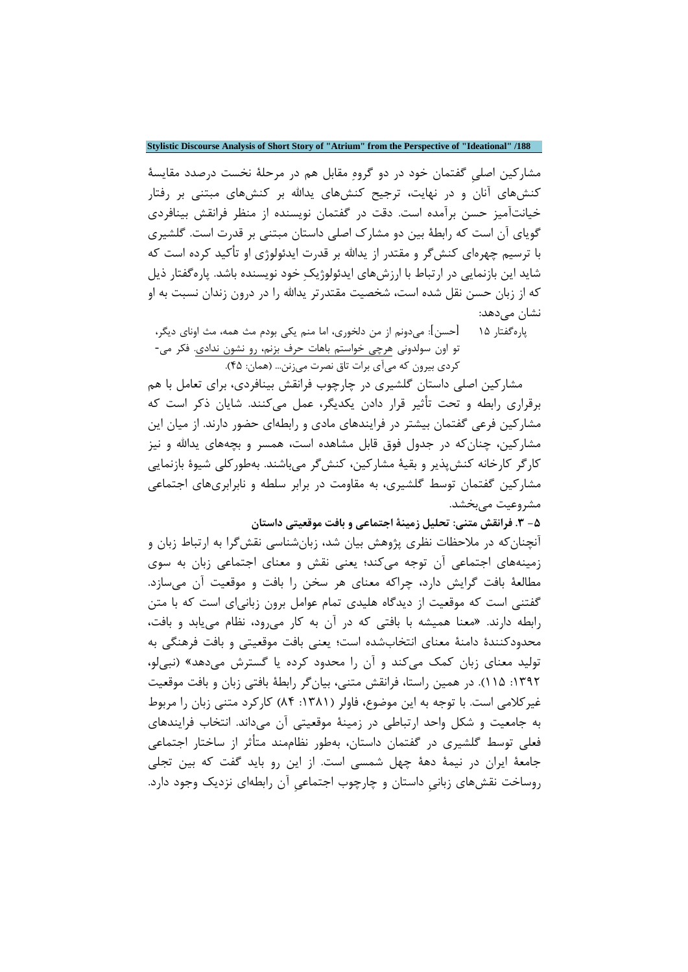مشارکین اصلیِ گفتمان خود در دو گروه مقابل هم در مرحلۀ نخست درصدد مقایسۀ کنشهاي آنان و در نهایت، ترجیح کنشهاي یداالله بر کنشهاي مبتنی بر رفتار خیانتآمیز حسن برآمده است. دقت در گفتمان نویسنده از منظر فرانقش بینافردي گویاي آن است که رابطۀ بین دو مشارك اصلی داستان مبتنی بر قدرت است. گلشیري با ترسیم چهرهاي کنشگر و مقتدر از یداالله بر قدرت ایدئولوژي او تأکید کرده است که شاید این بازنمایی در ارتباط با ارزشهاي ایدئولوژیک خود نویسنده باشد. پارهگفتار ذیل که از زبان حسن نقل شده است، شخصیت مقتدرتر یداالله را در درون زندان نسبت به او نشان مے دھد:

پارهگفتار 15 [حسن]: میدونم از من دلخوري، اما منم یکی بودم مث همه، مث اوناي دیگر، تو اون سولدونی هرچی خواستم باهات حرف بزنم، رو نشون ندادي. فکر می- کردي بیرون که میآي برات تاق نصرت میزنن... (همان: 45).

 مشارکین اصلی داستان گلشیري در چارچوب فرانقش بینافردي، براي تعامل با هم برقراري رابطه و تحت تأثیر قرار دادن یکدیگر، عمل میکنند. شایان ذکر است که مشارکین فرعی گفتمان بیشتر در فرایندهاي مادي و رابطهاي حضور دارند. از میان این مشارکین، چنانکه در جدول فوق قابل مشاهده است، همسر و بچههاي یداالله و نیز کارگر کارخانه کنشپذیر و بقیۀ مشارکین، کنشگر میباشند. بهطورکلی شیوة بازنمایی مشارکین گفتمان توسط گلشیري، به مقاومت در برابر سلطه و نابرابريهاي اجتماعی مشروعیت می,بخشد.

**-5 .3 فرانقش متنی: تحلیل زمینۀ اجتماعی و بافت موقعیتی داستان**

آنچنانکه در ملاحظات نظري پژوهش بیان شد، زبانشناسی نقشگرا به ارتباط زبان و زمینههاي اجتماعی آن توجه میکند؛ یعنی نقش و معناي اجتماعی زبان به سوي مطالعۀ بافت گرایش دارد، چراکه معناي هر سخن را بافت و موقعیت آن میسازد. گفتنی است که موقعیت از دیدگاه هلیدي تمام عوامل برون زبانیاي است که با متن رابطه دارند. «معنا همیشه با بافتی که در آن به کار میرود، نظام مییابد و بافت، محدودکنندة دامنۀ معناي انتخابشده است؛ یعنی بافت موقعیتی و بافت فرهنگی به تولید معناي زبان کمک میکند و آن را محدود کرده یا گسترش میدهد» (نبیلو، :1392 115). در همین راستا، فرانقش متنی، بیانگر رابطۀ بافتی زبان و بافت موقعیت غیرکلامی است. با توجه به این موضوع، فاولر (:1381 84) کارکرد متنی زبان را مربوط به جامعیت و شکل واحد ارتباطی در زمینۀ موقعیتی آن میداند. انتخاب فرایندهاي فعلی توسط گلشیري در گفتمان داستان، بهطور نظاممند متأثر از ساختار اجتماعی جامعۀ ایران در نیمۀ دهۀ چهل شمسی است. از این رو باید گفت که بین تجلی روساخت نقشهاي زبانیِ داستان و چارچوب اجتماعیِ آن رابطهاي نزدیک وجود دارد.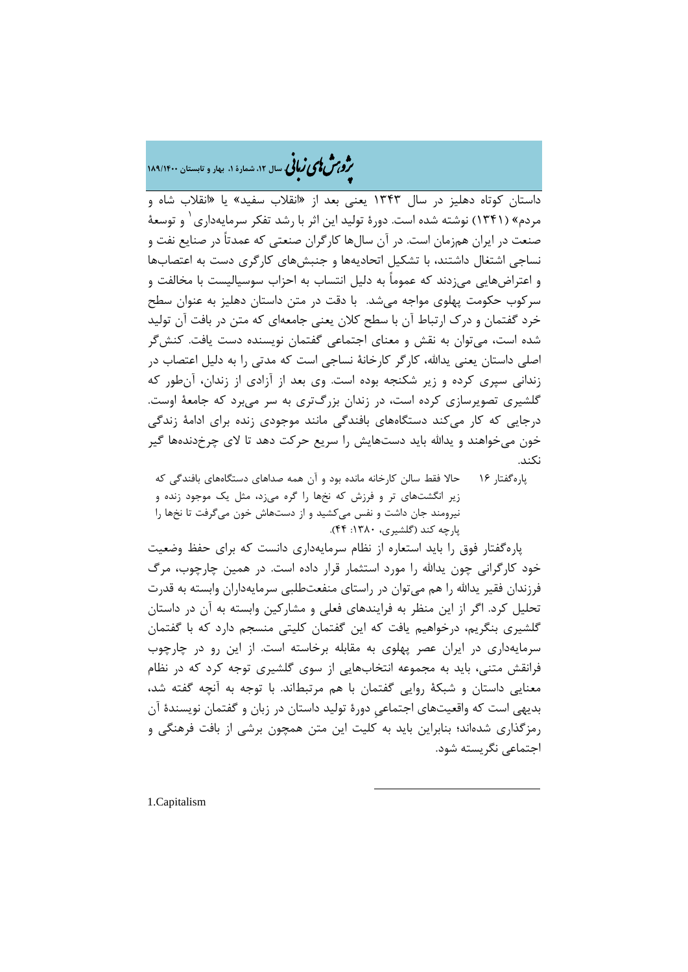## �ی زبا **، سال ،12 شمارة ،1 بهار و تابستان 189/1400** � �و ی �ش

داستان کوتاه دهلیز در سال 1343 یعنی بعد از «انقلاب سفید» یا «انقلاب شاه و مردم» (۱۳۴۱) نوشته شده است. دورهٔ تولید این اثر با رشد تفکر سرمایهداری <sup>۱</sup> و توسعهٔ صنعت در ایران همزمان است. در آن سالها کارگران صنعتی که عمدتاً در صنایع نفت و نساجی اشتغال داشتند، با تشکیل اتحادیهها و جنبشهاي کارگري دست به اعتصابها و اعتراضهایی میزدند که عموماً به دلیل انتساب به احزاب سوسیالیست با مخالفت و سرکوب حکومت پهلوي مواجه میشد. با دقت در متن داستان دهلیز به عنوان سطح خرد گفتمان و درك ارتباط آن با سطح کلان یعنی جامعهاي که متن در بافت آن تولید شده است، میتوان به نقش و معناي اجتماعی گفتمان نویسنده دست یافت. کنشگر اصلی داستان یعنی یداالله، کارگر کارخانۀ نساجی است که مدتی را به دلیل اعتصاب در زندانی سپري کرده و زیر شکنجه بوده است. وي بعد از آزادي از زندان، آنطور که گلشیري تصویرسازي کرده است، در زندان بزرگتري به سر میبرد که جامعۀ اوست. درجایی که کار میکند دستگاههاي بافندگی مانند موجودي زنده براي ادامۀ زندگی خون میخواهند و یداالله باید دستهایش را سریع حرکت دهد تا لاي چرخدندهها گیر نکند.

پارهگفتار 16 حالا فقط سالن کارخانه مانده بود و آن همه صداهاي دستگاههاي بافندگی که زیر انگشتهاي تر و فرزش که نخها را گره میزد، مثل یک موجود زنده و نیرومند جان داشت و نفس میکشید و از دستهاش خون میگرفت تا نخها را پارچه کند (گلشیري، :[1380](#page-20-0) 44).

 پارهگفتار فوق را باید استعاره از نظام سرمایهداري دانست که براي حفظ وضعیت خود کارگرانی چون یداالله را مورد استثمار قرار داده است. در همین چارچوب، مرگ فرزندان فقیر یداالله را هم میتوان در راستاي منفعتطلبی سرمایهداران وابسته به قدرت تحلیل کرد. اگر از این منظر به فرایندهاي فعلی و مشارکین وابسته به آن در داستان گلشیري بنگریم، درخواهیم یافت که این گفتمان کلیتی منسجم دارد که با گفتمان سرمایهداري در ایران عصر پهلوي به مقابله برخاسته است. از این رو در چارچوب فرانقش متنی، باید به مجموعه انتخابهایی از سوي گلشیري توجه کرد که در نظام معنایی داستان و شبکۀ روایی گفتمان با هم مرتبطاند. با توجه به آنچه گفته شد، بدیهی است که واقعیتهاي اجتماعیِ دورة تولید داستان در زبان و گفتمان نویسندة آن رمزگذاري شدهاند؛ بنابراین باید به کلیت این متن همچون برشی از بافت فرهنگی و اجتماعی نگریسته شود.

 $\overline{a}$ 

<span id="page-20-0"></span>1.Capitalism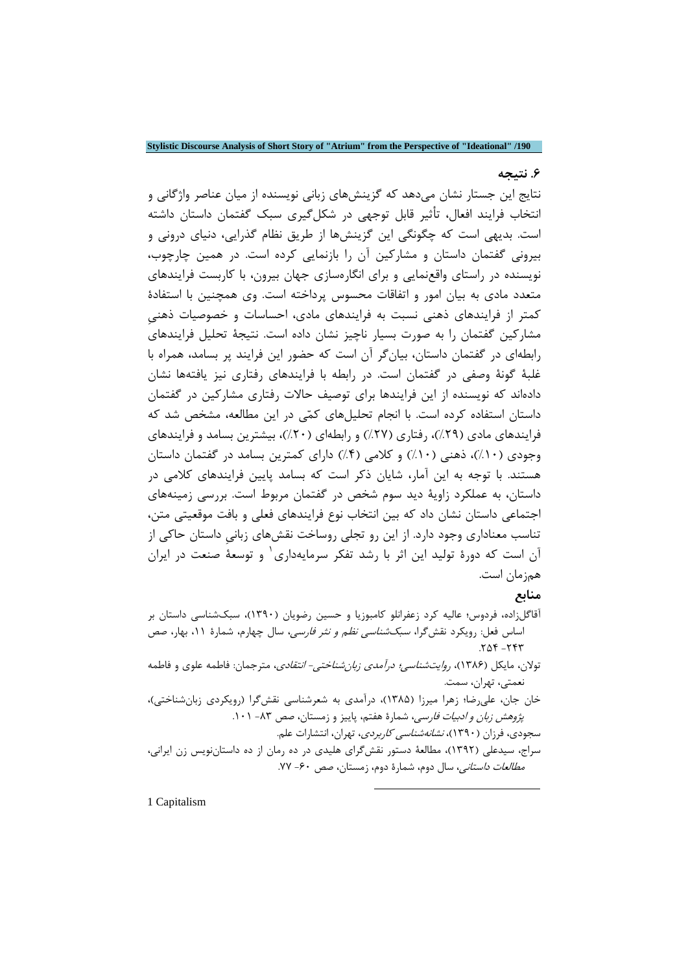### **.6 نتیجه**

نتایج این جستار نشان میدهد که گزینشهاي زبانی نویسنده از میان عناصر واژگانی و انتخاب فرایند افعال، تأثیر قابل توجهی در شکلگیري سبک گفتمان داستان داشته است. بدیهی است که چگونگی این گزینشها از طریق نظام گذرایی، دنیاي درونی و بیرونی گفتمان داستان و مشارکین آن را بازنمایی کرده است. در همین چارچوب، نویسنده در راستاي واقعنمایی و براي انگارهسازي جهان بیرون، با کاربست فرایندهاي متعدد مادي به بیان امور و اتفاقات محسوس پرداخته است. وي همچنین با استفادة کمتر از فرایندهاي ذهنی نسبت به فرایندهاي مادي، احساسات و خصوصیات ذهنیِ مشارکین گفتمان را به صورت بسیار ناچیز نشان داده است. نتیجۀ تحلیل فرایندهاي رابطهاي در گفتمان داستان، بیانگر آن است که حضور این فرایند پر بسامد، همراه با غلبۀ گونۀ وصفی در گفتمان است. در رابطه با فرایندهاي رفتاري نیز یافتهها نشان دادهاند که نویسنده از این فرایندها براي توصیف حالات رفتاري مشارکین در گفتمان داستان استفاده کرده است. با انجام تحلیلهاي کمی در این مطالعه، مشخص شد که فرایندهاي مادي (%29)، رفتاري (%27) و رابطهاي (%20)، بیشترین بسامد و فرایندهاي وجودي (%10)، ذهنی (%10) و کلامی (%4) داراي کمترین بسامد در گفتمان داستان هستند. با توجه به این آمار، شایان ذکر است که بسامد پایین فرایندهاي کلامی در داستان، به عملکرد زاویۀ دید سوم شخص در گفتمان مربوط است. بررسی زمینههاي اجتماعی داستان نشان داد که بین انتخاب نوع فرایندهاي فعلی و بافت موقعیتی متن، تناسب معناداري وجود دارد. از این رو تجلی روساخت نقشهاي زبانیِ داستان حاکی از آن است که دورهٔ تولید این اثر با رشد تفکر سرمایهداری ٰ و توسعهٔ صنعت در ایران همزمان است.

## **منابع**

- آقاگلزاده، فردوس؛ عالیه کرد زعفرانلو کامبوزیا و حسین رضویان (1390)، سبکشناسی داستان بر اساس فعل: رویکرد نقشگرا، سبکشناسی نظم و نثر فارسی، سال چهارم، شمارة ،11 بهار، صص  $.729 - 797$
- تولان، مایکل (1386)، روایتشناسی؛ درآمدي زبانشناختی- انتقادي، مترجمان: فاطمه علوي و فاطمه نعمتی، تهران، سمت.
- خان جان، علیرضا؛ زهرا میرزا (1385)، درآمدي به شعرشناسی نقشگرا (رویکردي زبانشناختی)، پژوهش زبان و *ادبیات فارسی*، شمارهٔ هفتم، پاییز و زمستان، صص ۸۳- ۱۰۱.

سجودي، فرزان (1390)، نشانهشناسی کاربردي، تهران، انتشارات علم. سراج، سیدعلی (1392)، مطالعۀ دستور نقشگراي هلیدي در ده رمان از ده داستاننویس زن ایرانی، مطالعات داستانی، سال دوم، شمارة دوم، زمستان، صص -60 .77

 $\overline{a}$ 

<span id="page-21-0"></span>[1](#page-21-0) Capitalism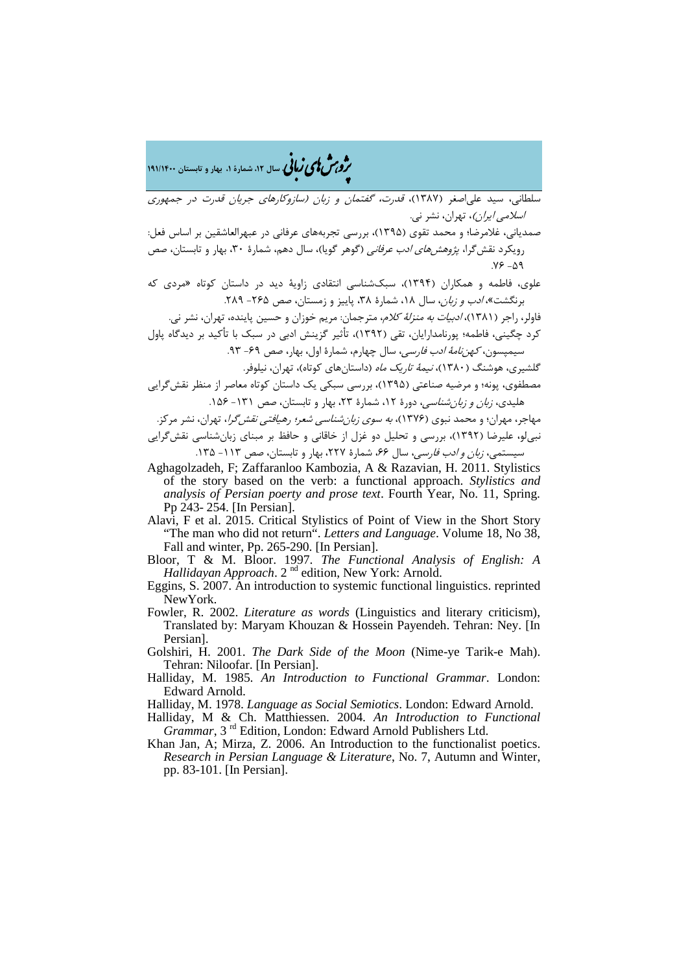�ی زبا **، سال ،12 شمارة ،1 بهار و تابستان 191/1400** � �و ی �ش

سلطانی، سید علیاصغر (1387)، قدرت، گفتمان و زبان (سازوکارهاي جریان قدرت در جمهوري *اسلامی ایران*)، تهران، نشر نی.

صمدیانی، غلامرضا؛ و محمد تقوي (1395)، بررسی تجربههاي عرفانی در عبهرالعاشقین بر اساس فعل: رویکرد نقش گرا، *پژوهشهاي ادب عرفاني* (گوهر گويا)، سال دهم، شمارهٔ ۳۰، بهار و تابستان، صص  $Y^{\varphi}$  -49

علوي، فاطمه و همکاران (1394)، سبکشناسی انتقادي زاویۀ دید در داستان کوتاه «مردي که برنگشت»، *ادب و زبان*، سال ۱۸، شمارهٔ ۳۸، پاییز و زمستان، صص ۲۶۵- ۲۸۹.

فاولر، راجر (1381)، ادبیات به منزلۀ کلام، مترجمان: مریم خوزان و حسین پاینده، تهران، نشر نی. کرد چگینی، فاطمه؛ پورنامدارایان، تقی (1392)، تأثیر گزینش ادبی در سبک با تأکید بر دیدگاه پاول سیمپسون، *کهن نامۀ ادب فارسی*، سال چهارم، شمارهٔ اول، بهار، صص ۶۹- ۹۳.

گلشیري، هوشنگ (۱۳۸۰)، *نیمۀ تاریک ماه* (داستانهاي کوتاه)، تهران، نیلوفر.

مصطفوي، پونه؛ و مرضیه صناعتی (1395)، بررسی سبکی یک داستان کوتاه معاصر از منظر نقشگرایی هلیدی، *زبان و زبان شناسی*، دورهٔ ۱۲، شمارهٔ ۲۳، بهار و تابستان، صص ۱۳۱- ۱۵۶.

مهاجر، مهران؛ و محمد نبوی (۱۳۷۶)، *به سوی زبانشناسی شعر؛ رهیافتی نقش گرا*، تهران، نشر مرکز. نبیلو، علیرضا (1392)، بررسی و تحلیل دو غزل از خاقانی و حافظ بر مبناي زبانشناسی نقشگرایی سیستمی، *زبان و ادب فارسی*، سال ۶۶، شمارهٔ ۲۲۷، بهار و تابستان، صص ۱۱۳ - ۱۳۵.

- Aghagolzadeh, F; Zaffaranloo Kambozia, A & Razavian, H. 2011. Stylistics of the story based on the verb: a functional approach. *Stylistics and analysis of Persian poerty and prose text*. Fourth Year, No. 11, Spring. Pp 243- 254. [In Persian].
- Alavi, F et al. 2015. Critical Stylistics of Point of View in the Short Story "The man who did not return". *Letters and Language*. Volume 18, No 38, Fall and winter, Pp. 265-290. [In Persian].
- Bloor, T & M. Bloor. 1997. *The Functional Analysis of English: A Hallidayan Approach*. 2 nd edition, New York: Arnold.
- Eggins, S. 2007. An introduction to systemic functional linguistics. reprinted NewYork.
- Fowler, R. 2002. *Literature as words* (Linguistics and literary criticism), Translated by: Maryam Khouzan & Hossein Payendeh. Tehran: Ney. [In Persian].
- Golshiri, H. 2001. *The Dark Side of the Moon* (Nime-ye Tarik-e Mah). Tehran: Niloofar. [In Persian].
- Halliday, M. 1985. *An Introduction to Functional Grammar*. London: Edward Arnold.
- Halliday, M. 1978. *Language as Social Semiotics*. London: Edward Arnold.
- Halliday, M & Ch. Matthiessen. 2004. *An Introduction to Functional Grammar*, 3 rd Edition, London: Edward Arnold Publishers Ltd.
- Khan Jan, A; Mirza, Z. 2006. An Introduction to the functionalist poetics. *Research in Persian Language & Literature*, No. 7, Autumn and Winter, pp. 83-101. [In Persian].